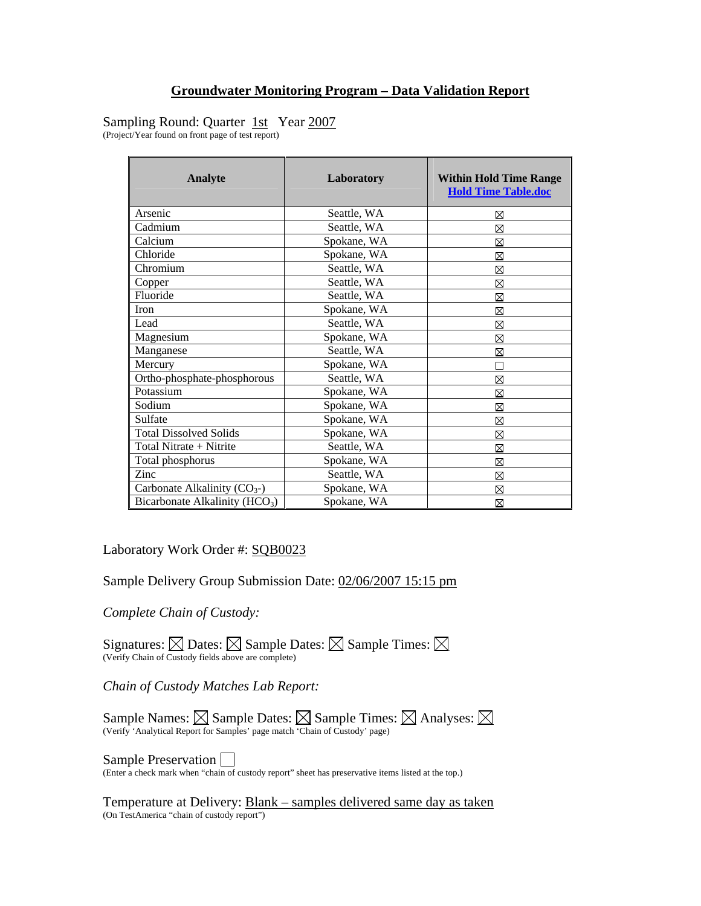# Sampling Round: Quarter 1st Year 2007

(Project/Year found on front page of test report)

| Analyte                                    | Laboratory  | <b>Within Hold Time Range</b><br><b>Hold Time Table.doc</b> |
|--------------------------------------------|-------------|-------------------------------------------------------------|
| Arsenic                                    | Seattle, WA | ⊠                                                           |
| Cadmium                                    | Seattle, WA | ⊠                                                           |
| Calcium                                    | Spokane, WA | ⊠                                                           |
| Chloride                                   | Spokane, WA | ⊠                                                           |
| Chromium                                   | Seattle, WA | ⊠                                                           |
| Copper                                     | Seattle, WA | ⊠                                                           |
| Fluoride                                   | Seattle, WA | ⊠                                                           |
| Iron                                       | Spokane, WA | ⊠                                                           |
| Lead                                       | Seattle, WA | ⊠                                                           |
| Magnesium                                  | Spokane, WA | ⊠                                                           |
| Manganese                                  | Seattle, WA | ⊠                                                           |
| Mercury                                    | Spokane, WA | П                                                           |
| Ortho-phosphate-phosphorous                | Seattle, WA | ⊠                                                           |
| Potassium                                  | Spokane, WA | ⊠                                                           |
| Sodium                                     | Spokane, WA | ⊠                                                           |
| Sulfate                                    | Spokane, WA | ⊠                                                           |
| <b>Total Dissolved Solids</b>              | Spokane, WA | ⊠                                                           |
| Total Nitrate + Nitrite                    | Seattle, WA | ⊠                                                           |
| Total phosphorus                           | Spokane, WA | ⊠                                                           |
| Zinc                                       | Seattle, WA | ⊠                                                           |
| Carbonate Alkalinity $(CO_{3})$            | Spokane, WA | ⊠                                                           |
| Bicarbonate Alkalinity (HCO <sub>3</sub> ) | Spokane, WA | ⊠                                                           |

Laboratory Work Order #: SQB0023

Sample Delivery Group Submission Date: 02/06/2007 15:15 pm

*Complete Chain of Custody:* 

Signatures:  $\boxtimes$  Dates:  $\boxtimes$  Sample Dates:  $\boxtimes$  Sample Times:  $\boxtimes$ (Verify Chain of Custody fields above are complete)

*Chain of Custody Matches Lab Report:* 

Sample Names:  $\boxtimes$  Sample Dates:  $\boxtimes$  Sample Times:  $\boxtimes$  Analyses: (Verify 'Analytical Report for Samples' page match 'Chain of Custody' page)

**Sample Preservation**  $\Box$ <br>(Enter a check mark when "chain of custody report" sheet has preservative items listed at the top.)

Temperature at Delivery: Blank – samples delivered same day as taken (On TestAmerica "chain of custody report")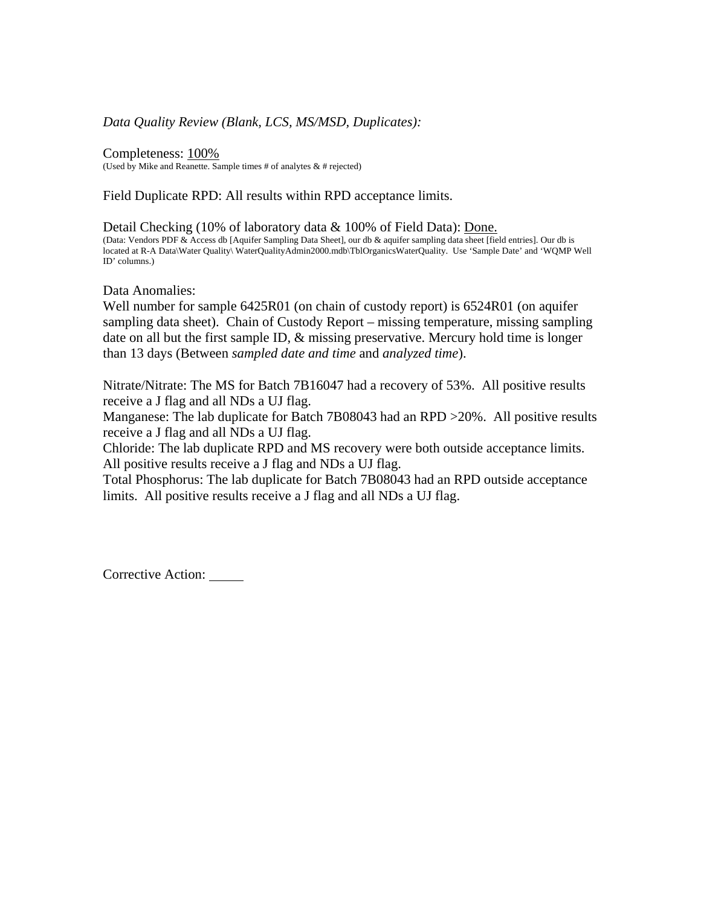### *Data Quality Review (Blank, LCS, MS/MSD, Duplicates):*

Completeness: 100% (Used by Mike and Reanette. Sample times  $#$  of analytes  $\&$   $#$  rejected)

Field Duplicate RPD: All results within RPD acceptance limits.

Detail Checking (10% of laboratory data & 100% of Field Data): Done. (Data: Vendors PDF & Access db [Aquifer Sampling Data Sheet], our db & aquifer sampling data sheet [field entries]. Our db is located at R-A Data\Water Quality\ WaterQualityAdmin2000.mdb\TblOrganicsWaterQuality. Use 'Sample Date' and 'WQMP Well ID' columns.)

Data Anomalies:

Well number for sample 6425R01 (on chain of custody report) is 6524R01 (on aquifer sampling data sheet). Chain of Custody Report – missing temperature, missing sampling date on all but the first sample ID, & missing preservative. Mercury hold time is longer than 13 days (Between *sampled date and time* and *analyzed time*).

Nitrate/Nitrate: The MS for Batch 7B16047 had a recovery of 53%. All positive results receive a J flag and all NDs a UJ flag.

Manganese: The lab duplicate for Batch 7B08043 had an RPD > 20%. All positive results receive a J flag and all NDs a UJ flag.

Chloride: The lab duplicate RPD and MS recovery were both outside acceptance limits. All positive results receive a J flag and NDs a UJ flag.

Total Phosphorus: The lab duplicate for Batch 7B08043 had an RPD outside acceptance limits. All positive results receive a J flag and all NDs a UJ flag.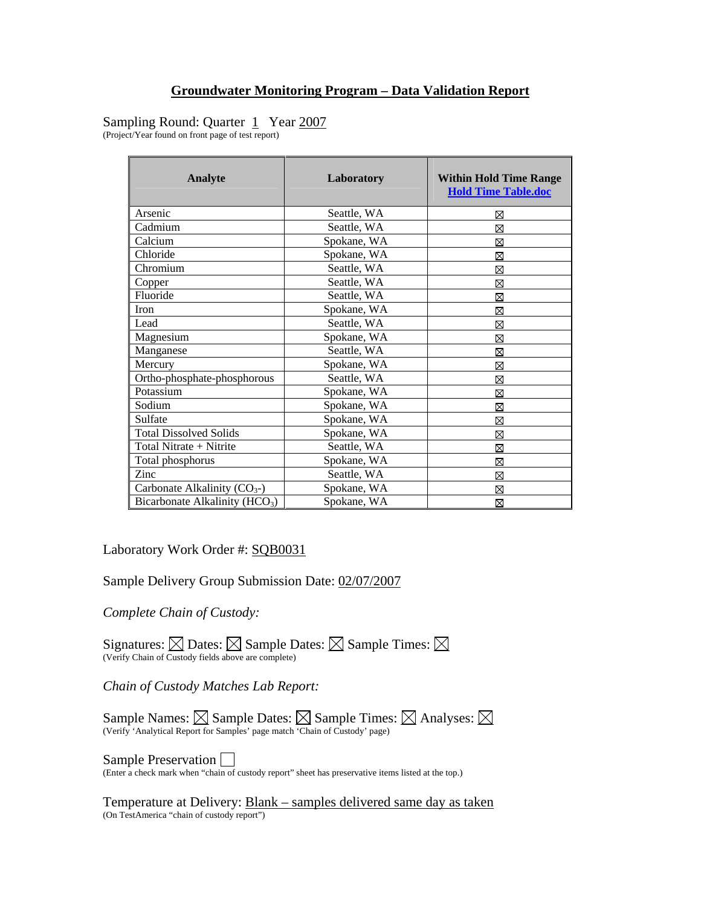# Sampling Round: Quarter 1 Year 2007

(Project/Year found on front page of test report)

| Analyte                                    | Laboratory  | <b>Within Hold Time Range</b><br><b>Hold Time Table.doc</b> |
|--------------------------------------------|-------------|-------------------------------------------------------------|
| Arsenic                                    | Seattle, WA | ⊠                                                           |
| Cadmium                                    | Seattle, WA | ⊠                                                           |
| Calcium                                    | Spokane, WA | ⊠                                                           |
| Chloride                                   | Spokane, WA | ⊠                                                           |
| Chromium                                   | Seattle, WA | ⊠                                                           |
| Copper                                     | Seattle, WA | ⊠                                                           |
| Fluoride                                   | Seattle, WA | ⊠                                                           |
| Iron                                       | Spokane, WA | ⊠                                                           |
| Lead                                       | Seattle, WA | ⊠                                                           |
| Magnesium                                  | Spokane, WA | ⊠                                                           |
| Manganese                                  | Seattle, WA | ⊠                                                           |
| Mercury                                    | Spokane, WA | ⊠                                                           |
| Ortho-phosphate-phosphorous                | Seattle, WA | ⊠                                                           |
| Potassium                                  | Spokane, WA | ⊠                                                           |
| Sodium                                     | Spokane, WA | ⊠                                                           |
| Sulfate                                    | Spokane, WA | ⊠                                                           |
| <b>Total Dissolved Solids</b>              | Spokane, WA | ⊠                                                           |
| Total Nitrate + Nitrite                    | Seattle, WA | ⊠                                                           |
| Total phosphorus                           | Spokane, WA | ⊠                                                           |
| Zinc                                       | Seattle, WA | ⊠                                                           |
| Carbonate Alkalinity $(CO_{3})$            | Spokane, WA | ⊠                                                           |
| Bicarbonate Alkalinity (HCO <sub>3</sub> ) | Spokane, WA | ⊠                                                           |

Laboratory Work Order #: SQB0031

Sample Delivery Group Submission Date: 02/07/2007

*Complete Chain of Custody:* 

Signatures:  $\boxtimes$  Dates:  $\boxtimes$  Sample Dates:  $\boxtimes$  Sample Times:  $\boxtimes$ (Verify Chain of Custody fields above are complete)

*Chain of Custody Matches Lab Report:* 

Sample Names:  $\boxtimes$  Sample Dates:  $\boxtimes$  Sample Times:  $\boxtimes$  Analyses: (Verify 'Analytical Report for Samples' page match 'Chain of Custody' page)

**Sample Preservation**  $\Box$ <br>(Enter a check mark when "chain of custody report" sheet has preservative items listed at the top.)

Temperature at Delivery: Blank – samples delivered same day as taken (On TestAmerica "chain of custody report")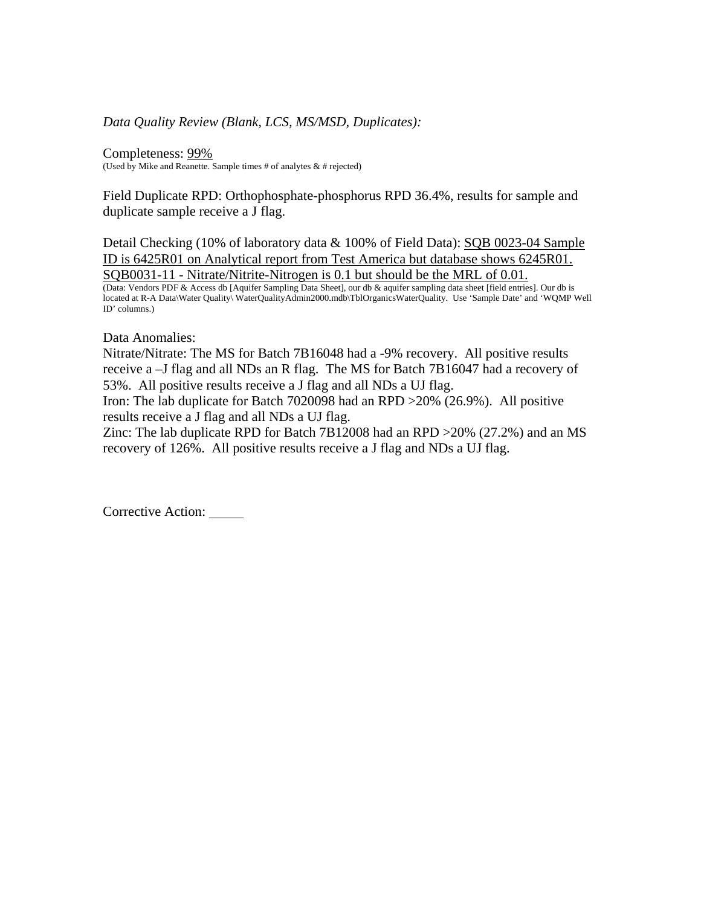### *Data Quality Review (Blank, LCS, MS/MSD, Duplicates):*

Completeness: 99% (Used by Mike and Reanette. Sample times # of analytes  $& 4$  rejected)

Field Duplicate RPD: Orthophosphate-phosphorus RPD 36.4%, results for sample and duplicate sample receive a J flag.

Detail Checking (10% of laboratory data & 100% of Field Data): SQB 0023-04 Sample ID is 6425R01 on Analytical report from Test America but database shows 6245R01. SQB0031-11 - Nitrate/Nitrite-Nitrogen is 0.1 but should be the MRL of 0.01.

(Data: Vendors PDF & Access db [Aquifer Sampling Data Sheet], our db & aquifer sampling data sheet [field entries]. Our db is located at R-A Data\Water Quality\ WaterQualityAdmin2000.mdb\TblOrganicsWaterQuality. Use 'Sample Date' and 'WQMP Well ID' columns.)

Data Anomalies:

Nitrate/Nitrate: The MS for Batch 7B16048 had a -9% recovery. All positive results receive a –J flag and all NDs an R flag. The MS for Batch 7B16047 had a recovery of 53%. All positive results receive a J flag and all NDs a UJ flag.

Iron: The lab duplicate for Batch 7020098 had an RPD >20% (26.9%). All positive results receive a J flag and all NDs a UJ flag.

Zinc: The lab duplicate RPD for Batch 7B12008 had an RPD >20% (27.2%) and an MS recovery of 126%. All positive results receive a J flag and NDs a UJ flag.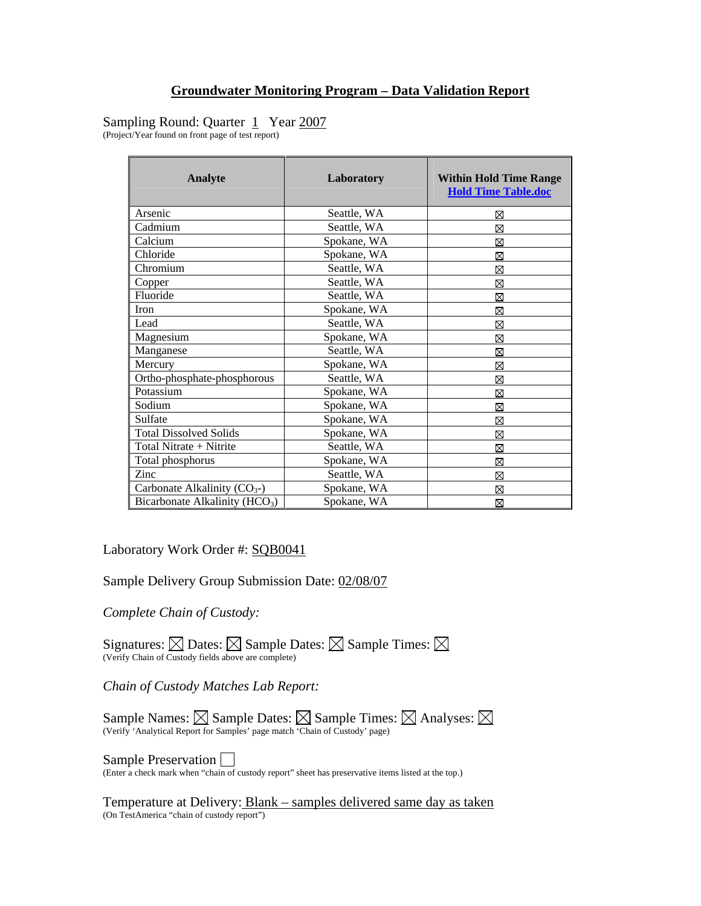# Sampling Round: Quarter 1 Year 2007

(Project/Year found on front page of test report)

| Analyte                                    | Laboratory  | <b>Within Hold Time Range</b><br><b>Hold Time Table.doc</b> |
|--------------------------------------------|-------------|-------------------------------------------------------------|
| Arsenic                                    | Seattle, WA | ⊠                                                           |
| Cadmium                                    | Seattle, WA | ⊠                                                           |
| Calcium                                    | Spokane, WA | ⊠                                                           |
| Chloride                                   | Spokane, WA | ⊠                                                           |
| Chromium                                   | Seattle, WA | ⊠                                                           |
| Copper                                     | Seattle, WA | ⊠                                                           |
| Fluoride                                   | Seattle, WA | ⊠                                                           |
| Iron                                       | Spokane, WA | ⊠                                                           |
| Lead                                       | Seattle, WA | ⊠                                                           |
| Magnesium                                  | Spokane, WA | ⊠                                                           |
| Manganese                                  | Seattle, WA | ⊠                                                           |
| Mercury                                    | Spokane, WA | ⊠                                                           |
| Ortho-phosphate-phosphorous                | Seattle, WA | ⊠                                                           |
| Potassium                                  | Spokane, WA | ⊠                                                           |
| Sodium                                     | Spokane, WA | ⊠                                                           |
| Sulfate                                    | Spokane, WA | ⊠                                                           |
| <b>Total Dissolved Solids</b>              | Spokane, WA | ⊠                                                           |
| Total Nitrate + Nitrite                    | Seattle, WA | ⊠                                                           |
| Total phosphorus                           | Spokane, WA | ⊠                                                           |
| Zinc                                       | Seattle, WA | ⊠                                                           |
| Carbonate Alkalinity $(CO_{3})$            | Spokane, WA | ⊠                                                           |
| Bicarbonate Alkalinity (HCO <sub>3</sub> ) | Spokane, WA | ⊠                                                           |

Laboratory Work Order #: SQB0041

Sample Delivery Group Submission Date: 02/08/07

*Complete Chain of Custody:* 

Signatures:  $\boxtimes$  Dates:  $\boxtimes$  Sample Dates:  $\boxtimes$  Sample Times:  $\boxtimes$ (Verify Chain of Custody fields above are complete)

*Chain of Custody Matches Lab Report:* 

Sample Names:  $\boxtimes$  Sample Dates:  $\boxtimes$  Sample Times:  $\boxtimes$  Analyses: (Verify 'Analytical Report for Samples' page match 'Chain of Custody' page)

**Sample Preservation**  $\Box$ <br>(Enter a check mark when "chain of custody report" sheet has preservative items listed at the top.)

Temperature at Delivery: Blank – samples delivered same day as taken (On TestAmerica "chain of custody report")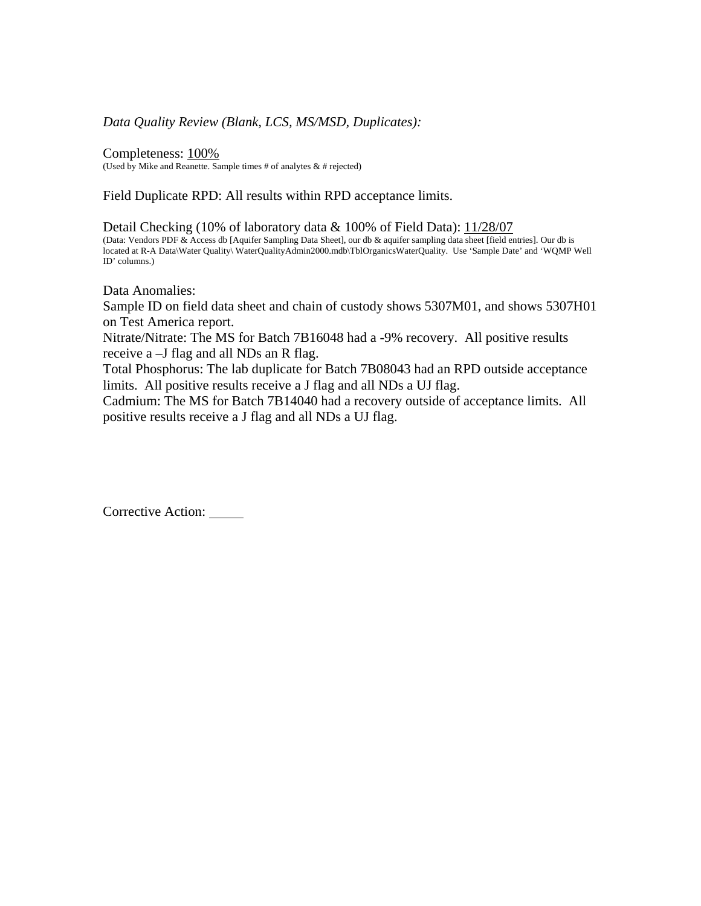#### *Data Quality Review (Blank, LCS, MS/MSD, Duplicates):*

Completeness: 100% (Used by Mike and Reanette. Sample times  $#$  of analytes  $\&$   $#$  rejected)

Field Duplicate RPD: All results within RPD acceptance limits.

Detail Checking (10% of laboratory data & 100% of Field Data): 11/28/07 (Data: Vendors PDF & Access db [Aquifer Sampling Data Sheet], our db & aquifer sampling data sheet [field entries]. Our db is located at R-A Data\Water Quality\ WaterQualityAdmin2000.mdb\TblOrganicsWaterQuality. Use 'Sample Date' and 'WQMP Well ID' columns.)

Data Anomalies:

Sample ID on field data sheet and chain of custody shows 5307M01, and shows 5307H01 on Test America report.

Nitrate/Nitrate: The MS for Batch 7B16048 had a -9% recovery. All positive results receive a –J flag and all NDs an R flag.

Total Phosphorus: The lab duplicate for Batch 7B08043 had an RPD outside acceptance limits. All positive results receive a J flag and all NDs a UJ flag.

Cadmium: The MS for Batch 7B14040 had a recovery outside of acceptance limits. All positive results receive a J flag and all NDs a UJ flag.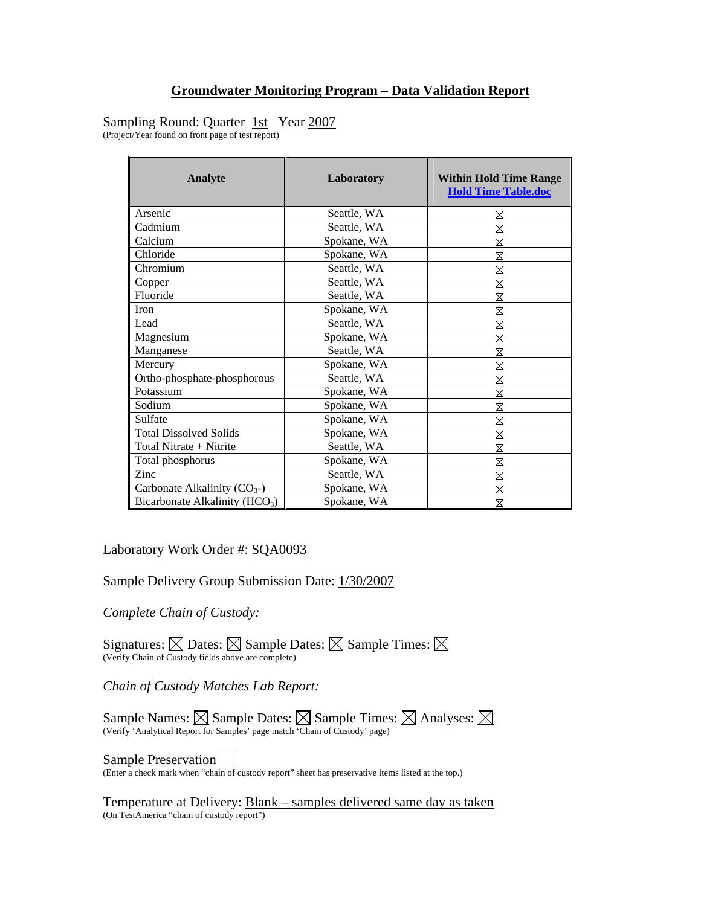# Sampling Round: Quarter 1st Year 2007

(Project/Year found on front page of test report)

| Analyte                                    | Laboratory  | <b>Within Hold Time Range</b><br><b>Hold Time Table.doc</b> |
|--------------------------------------------|-------------|-------------------------------------------------------------|
| Arsenic                                    | Seattle, WA | ⊠                                                           |
| Cadmium                                    | Seattle, WA | ⊠                                                           |
| Calcium                                    | Spokane, WA | ⊠                                                           |
| Chloride                                   | Spokane, WA | ⊠                                                           |
| Chromium                                   | Seattle, WA | ⊠                                                           |
| Copper                                     | Seattle, WA | ⊠                                                           |
| Fluoride                                   | Seattle, WA | ⊠                                                           |
| Iron                                       | Spokane, WA | ⊠                                                           |
| Lead                                       | Seattle, WA | ⊠                                                           |
| Magnesium                                  | Spokane, WA | ⊠                                                           |
| Manganese                                  | Seattle, WA | ⊠                                                           |
| Mercury                                    | Spokane, WA | ⊠                                                           |
| Ortho-phosphate-phosphorous                | Seattle, WA | ⊠                                                           |
| Potassium                                  | Spokane, WA | ⊠                                                           |
| Sodium                                     | Spokane, WA | ⊠                                                           |
| Sulfate                                    | Spokane, WA | ⊠                                                           |
| <b>Total Dissolved Solids</b>              | Spokane, WA | ⊠                                                           |
| Total Nitrate + Nitrite                    | Seattle, WA | ⊠                                                           |
| Total phosphorus                           | Spokane, WA | ⊠                                                           |
| Zinc                                       | Seattle, WA | ⊠                                                           |
| Carbonate Alkalinity $(CO_{3})$            | Spokane, WA | ⊠                                                           |
| Bicarbonate Alkalinity (HCO <sub>3</sub> ) | Spokane, WA | ⊠                                                           |

Laboratory Work Order #: SQA0093

Sample Delivery Group Submission Date: 1/30/2007

*Complete Chain of Custody:* 

Signatures:  $\boxtimes$  Dates:  $\boxtimes$  Sample Dates:  $\boxtimes$  Sample Times:  $\boxtimes$ (Verify Chain of Custody fields above are complete)

*Chain of Custody Matches Lab Report:* 

Sample Names:  $\boxtimes$  Sample Dates:  $\boxtimes$  Sample Times:  $\boxtimes$  Analyses: (Verify 'Analytical Report for Samples' page match 'Chain of Custody' page)

**Sample Preservation**  $\Box$ <br>(Enter a check mark when "chain of custody report" sheet has preservative items listed at the top.)

Temperature at Delivery: Blank – samples delivered same day as taken (On TestAmerica "chain of custody report")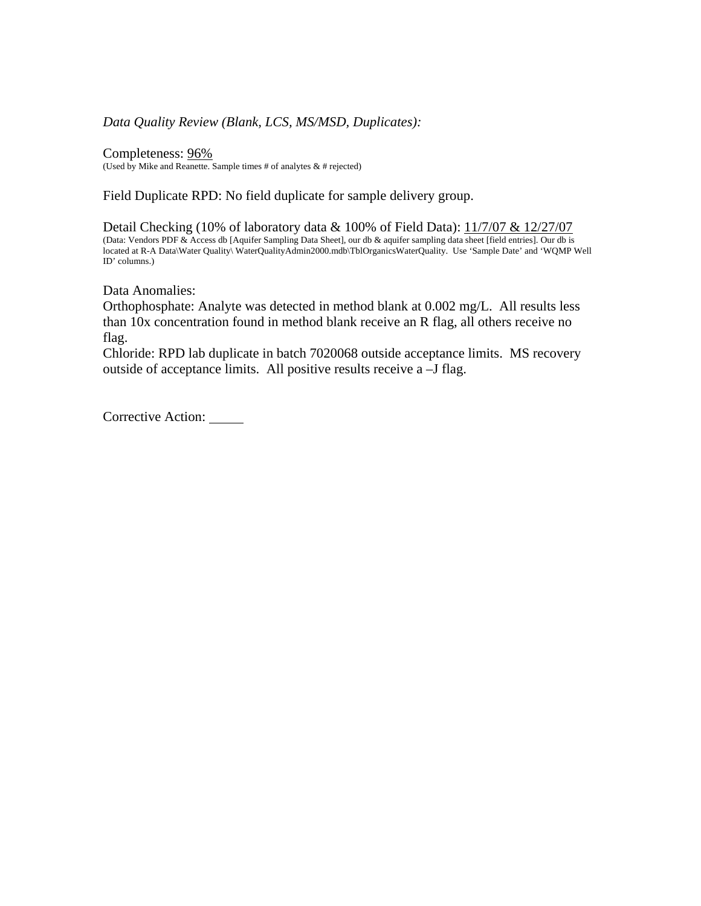### *Data Quality Review (Blank, LCS, MS/MSD, Duplicates):*

Completeness: 96% (Used by Mike and Reanette. Sample times  $#$  of analytes  $\&$   $#$  rejected)

Field Duplicate RPD: No field duplicate for sample delivery group.

Detail Checking (10% of laboratory data & 100% of Field Data): 11/7/07 & 12/27/07 (Data: Vendors PDF & Access db [Aquifer Sampling Data Sheet], our db & aquifer sampling data sheet [field entries]. Our db is located at R-A Data\Water Quality\ WaterQualityAdmin2000.mdb\TblOrganicsWaterQuality. Use 'Sample Date' and 'WQMP Well ID' columns.)

Data Anomalies:

Orthophosphate: Analyte was detected in method blank at 0.002 mg/L. All results less than 10x concentration found in method blank receive an R flag, all others receive no flag.

Chloride: RPD lab duplicate in batch 7020068 outside acceptance limits. MS recovery outside of acceptance limits. All positive results receive a –J flag.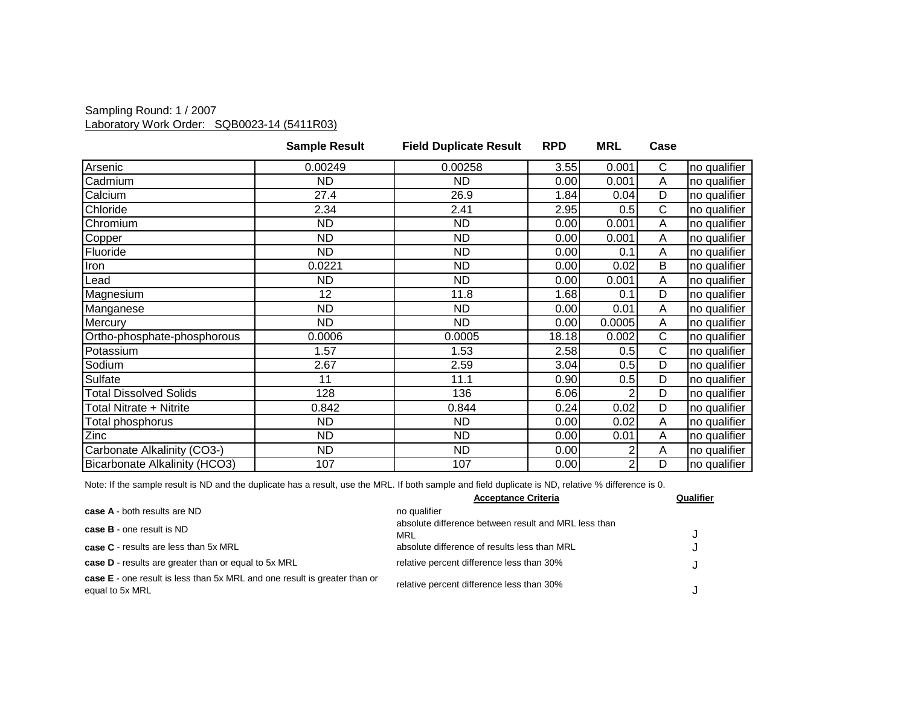### Sampling Round: 1 / 2007 Laboratory Work Order: SQB0023-14 (5411R03)

|                               | <b>Sample Result</b> | <b>Field Duplicate Result</b> | <b>RPD</b> | <b>MRL</b>     | Case |              |
|-------------------------------|----------------------|-------------------------------|------------|----------------|------|--------------|
| Arsenic                       | 0.00249              | 0.00258                       | 3.55       | 0.001          | C    | no qualifier |
| Cadmium                       | ND.                  | ND                            | 0.00       | 0.001          | A    | no qualifier |
| Calcium                       | 27.4                 | 26.9                          | 1.84       | 0.04           | D    | no qualifier |
| Chloride                      | 2.34                 | 2.41                          | 2.95       | 0.5            | C    | no qualifier |
| Chromium                      | <b>ND</b>            | <b>ND</b>                     | 0.00       | 0.001          | Α    | no qualifier |
| Copper                        | ND.                  | ND.                           | 0.00       | 0.001          | A    | no qualifier |
| Fluoride                      | <b>ND</b>            | <b>ND</b>                     | 0.00       | 0.1            | A    | no qualifier |
| Iron                          | 0.0221               | <b>ND</b>                     | 0.00       | 0.02           | B    | no qualifier |
| Lead                          | <b>ND</b>            | <b>ND</b>                     | 0.00       | 0.001          | A    | no qualifier |
| Magnesium                     | 12                   | 11.8                          | 1.68       | 0.1            | D    | no qualifier |
| Manganese                     | <b>ND</b>            | ND.                           | 0.00       | 0.01           | A    | no qualifier |
| Mercury                       | <b>ND</b>            | ND.                           | 0.00       | 0.0005         | A    | no qualifier |
| Ortho-phosphate-phosphorous   | 0.0006               | 0.0005                        | 18.18      | 0.002          | C    | no qualifier |
| Potassium                     | 1.57                 | 1.53                          | 2.58       | 0.5            | C    | no qualifier |
| Sodium                        | 2.67                 | 2.59                          | 3.04       | 0.5            | D    | no qualifier |
| Sulfate                       | 11                   | 11.1                          | 0.90       | 0.5            | D    | no qualifier |
| <b>Total Dissolved Solids</b> | 128                  | 136                           | 6.06       |                | D    | no qualifier |
| Total Nitrate + Nitrite       | 0.842                | 0.844                         | 0.24       | 0.02           | D    | no qualifier |
| Total phosphorus              | ND.                  | ND                            | 0.00       | 0.02           | A    | no qualifier |
| Zinc                          | ND.                  | ND                            | 0.00       | 0.01           | Α    | no qualifier |
| Carbonate Alkalinity (CO3-)   | <b>ND</b>            | <b>ND</b>                     | 0.00       | 2              | A    | no qualifier |
| Bicarbonate Alkalinity (HCO3) | 107                  | 107                           | 0.00       | $\overline{2}$ | D    | no qualifier |

|                                                                                                     | <b>Acceptance Criteria</b>                                  | Qualifier |
|-----------------------------------------------------------------------------------------------------|-------------------------------------------------------------|-----------|
| case A - both results are ND                                                                        | no qualifier                                                |           |
| <b>case B</b> - one result is ND                                                                    | absolute difference between result and MRL less than<br>MRL |           |
| <b>case C</b> - results are less than 5x MRL                                                        | absolute difference of results less than MRL                |           |
| case D - results are greater than or equal to 5x MRL                                                | relative percent difference less than 30%                   |           |
| <b>case E</b> - one result is less than 5x MRL and one result is greater than or<br>equal to 5x MRL | relative percent difference less than 30%                   |           |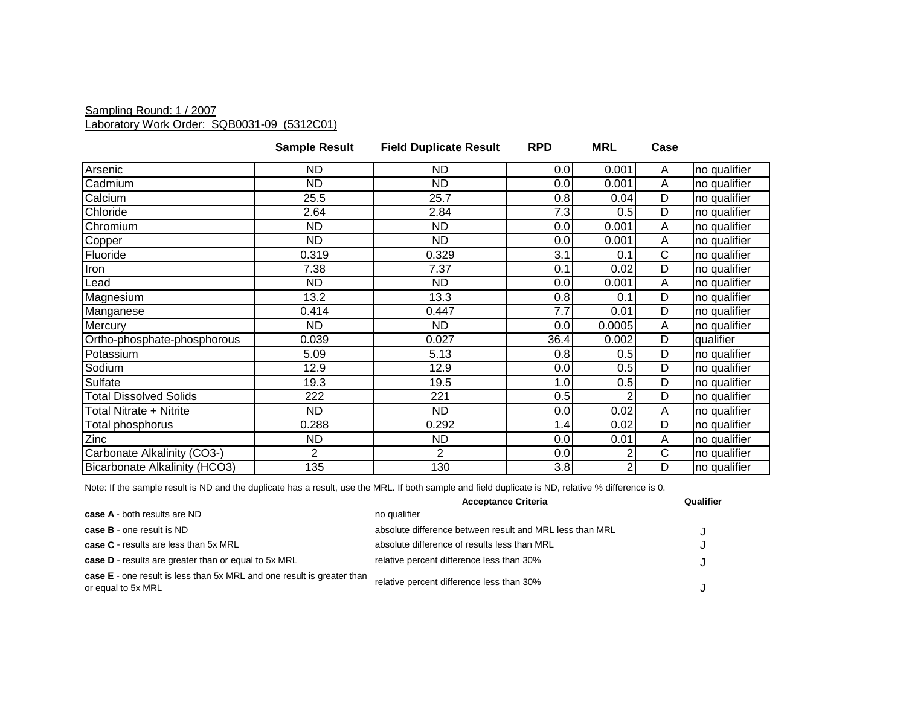### Sampling Round: 1 / 2007 Laboratory Work Order: SQB0031-09 (5312C01)

|                               | <b>Sample Result</b> | <b>Field Duplicate Result</b> | <b>RPD</b> | <b>MRL</b>     | Case         |              |
|-------------------------------|----------------------|-------------------------------|------------|----------------|--------------|--------------|
| Arsenic                       | ND.                  | <b>ND</b>                     | 0.0        | 0.001          | A            | no qualifier |
| Cadmium                       | <b>ND</b>            | <b>ND</b>                     | 0.0        | 0.001          | A            | no qualifier |
| Calcium                       | 25.5                 | 25.7                          | 0.8        | 0.04           | D            | no qualifier |
| Chloride                      | 2.64                 | 2.84                          | 7.3        | 0.5            | D            | no qualifier |
| Chromium                      | <b>ND</b>            | <b>ND</b>                     | 0.0        | 0.001          | Α            | no qualifier |
| Copper                        | <b>ND</b>            | <b>ND</b>                     | 0.0        | 0.001          | Α            | no qualifier |
| Fluoride                      | 0.319                | 0.329                         | 3.1        | 0.1            | $\mathsf{C}$ | no qualifier |
| Iron                          | 7.38                 | 7.37                          | 0.1        | 0.02           | D            | no qualifier |
| Lead                          | <b>ND</b>            | <b>ND</b>                     | 0.0        | 0.001          | A            | no qualifier |
| Magnesium                     | 13.2                 | 13.3                          | 0.8        | 0.1            | D            | no qualifier |
| Manganese                     | 0.414                | 0.447                         | 7.7        | 0.01           | D            | no qualifier |
| Mercury                       | ND.                  | ND                            | 0.0        | 0.0005         | Α            | no qualifier |
| Ortho-phosphate-phosphorous   | 0.039                | 0.027                         | 36.4       | 0.002          | D            | qualifier    |
| Potassium                     | 5.09                 | 5.13                          | 0.8        | 0.5            | D            | no qualifier |
| Sodium                        | 12.9                 | 12.9                          | 0.0        | 0.5            | D            | no qualifier |
| Sulfate                       | 19.3                 | 19.5                          | 1.0        | 0.5            | D            | no qualifier |
| <b>Total Dissolved Solids</b> | 222                  | 221                           | 0.5        |                | D            | no qualifier |
| Total Nitrate + Nitrite       | ND.                  | ND.                           | 0.0        | 0.02           | A            | no qualifier |
| Total phosphorus              | 0.288                | 0.292                         | 1.4        | 0.02           | D            | no qualifier |
| Zinc                          | <b>ND</b>            | <b>ND</b>                     | 0.0        | 0.01           | A            | no qualifier |
| Carbonate Alkalinity (CO3-)   | $\overline{2}$       | $\overline{2}$                | 0.0        |                | C            | no qualifier |
| Bicarbonate Alkalinity (HCO3) | 135                  | 130                           | 3.8        | $\overline{2}$ | D            | no qualifier |

|                                                                                              | <b>Acceptance Criteria</b>                               | Qualifier |
|----------------------------------------------------------------------------------------------|----------------------------------------------------------|-----------|
| case A - both results are ND                                                                 | no qualifier                                             |           |
| <b>case B</b> - one result is ND                                                             | absolute difference between result and MRL less than MRL |           |
| case C - results are less than 5x MRL                                                        | absolute difference of results less than MRL             | u         |
| case D - results are greater than or equal to 5x MRL                                         | relative percent difference less than 30%                |           |
| case E - one result is less than 5x MRL and one result is greater than<br>or equal to 5x MRL | relative percent difference less than 30%                |           |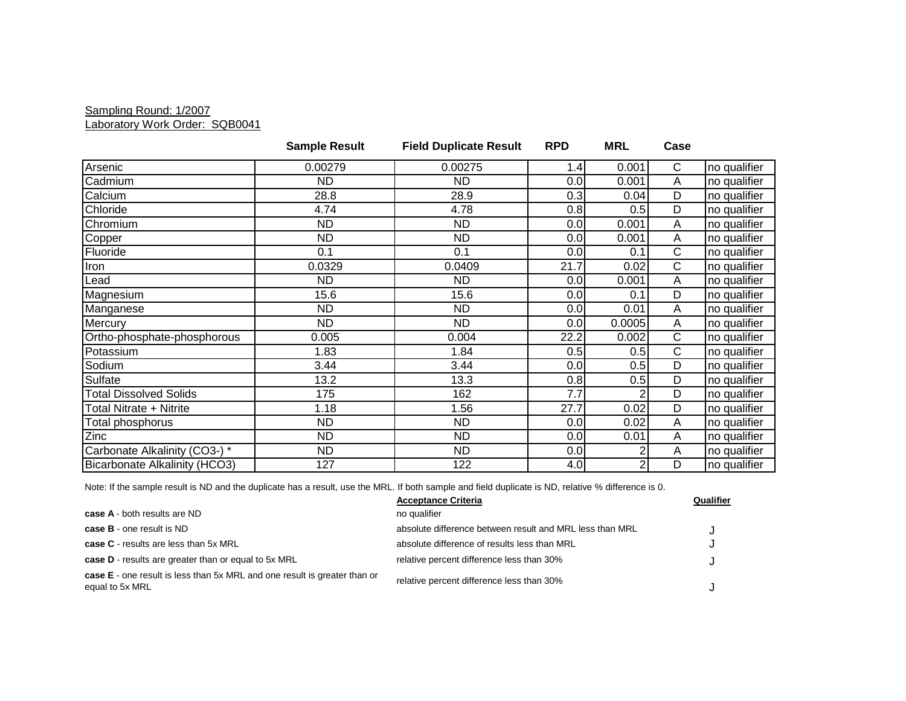#### Sampling Round: 1/2007 Laboratory Work Order: SQB0041

|                                      | <b>Sample Result</b> | <b>Field Duplicate Result</b> | <b>RPD</b> | <b>MRL</b>     | Case           |              |
|--------------------------------------|----------------------|-------------------------------|------------|----------------|----------------|--------------|
| Arsenic                              | 0.00279              | 0.00275                       | 1.4        | 0.001          | $\mathsf{C}$   | no qualifier |
| Cadmium                              | <b>ND</b>            | <b>ND</b>                     | 0.0        | 0.001          | A              | no qualifier |
| Calcium                              | 28.8                 | 28.9                          | 0.3        | 0.04           | D              | no qualifier |
| Chloride                             | 4.74                 | 4.78                          | 0.8        | 0.5            | $\overline{D}$ | no qualifier |
| Chromium                             | ND.                  | ND.                           | 0.0        | 0.001          | A              | no qualifier |
| Copper                               | <b>ND</b>            | <b>ND</b>                     | 0.0        | 0.001          | A              | no qualifier |
| Fluoride                             | 0.1                  | 0.1                           | 0.0        | 0.1            | $\mathsf{C}$   | no qualifier |
| Iron                                 | 0.0329               | 0.0409                        | 21.7       | 0.02           | $\mathsf{C}$   | no qualifier |
| Lead                                 | <b>ND</b>            | ND.                           | 0.0        | 0.001          | A              | no qualifier |
| Magnesium                            | 15.6                 | 15.6                          | 0.0        | 0.1            | D              | no qualifier |
| Manganese                            | <b>ND</b>            | <b>ND</b>                     | 0.0        | 0.01           | A              | no qualifier |
| Mercury                              | ND.                  | <b>ND</b>                     | 0.0        | 0.0005         | A              | no qualifier |
| Ortho-phosphate-phosphorous          | 0.005                | 0.004                         | 22.2       | 0.002          | $\mathsf{C}$   | no qualifier |
| Potassium                            | 1.83                 | 1.84                          | 0.5        | 0.5            | $\mathsf{C}$   | no qualifier |
| Sodium                               | 3.44                 | 3.44                          | 0.0        | 0.5            | D              | no qualifier |
| Sulfate                              | 13.2                 | 13.3                          | 0.8        | 0.5            | $\overline{D}$ | no qualifier |
| <b>Total Dissolved Solids</b>        | 175                  | 162                           | 7.7        | 2              | D              | no qualifier |
| Total Nitrate + Nitrite              | 1.18                 | 1.56                          | 27.7       | 0.02           | D              | no qualifier |
| Total phosphorus                     | <b>ND</b>            | <b>ND</b>                     | 0.0        | 0.02           | A              | no qualifier |
| Zinc                                 | <b>ND</b>            | <b>ND</b>                     | 0.0        | 0.01           | $\overline{A}$ | no qualifier |
| Carbonate Alkalinity (CO3-) *        | <b>ND</b>            | <b>ND</b>                     | 0.0        | 2              | A              | no qualifier |
| <b>Bicarbonate Alkalinity (HCO3)</b> | 127                  | 122                           | 4.0        | $\overline{c}$ | D              | no qualifier |

|                                                                                                     | <b>Acceptance Criteria</b>                               | Qualifier |
|-----------------------------------------------------------------------------------------------------|----------------------------------------------------------|-----------|
| <b>case A</b> - both results are ND                                                                 | no qualifier                                             |           |
| <b>case B</b> - one result is ND                                                                    | absolute difference between result and MRL less than MRL |           |
| case C - results are less than 5x MRL                                                               | absolute difference of results less than MRL             |           |
| case D - results are greater than or equal to 5x MRL                                                | relative percent difference less than 30%                |           |
| <b>case E</b> - one result is less than 5x MRL and one result is greater than or<br>equal to 5x MRL | relative percent difference less than 30%                |           |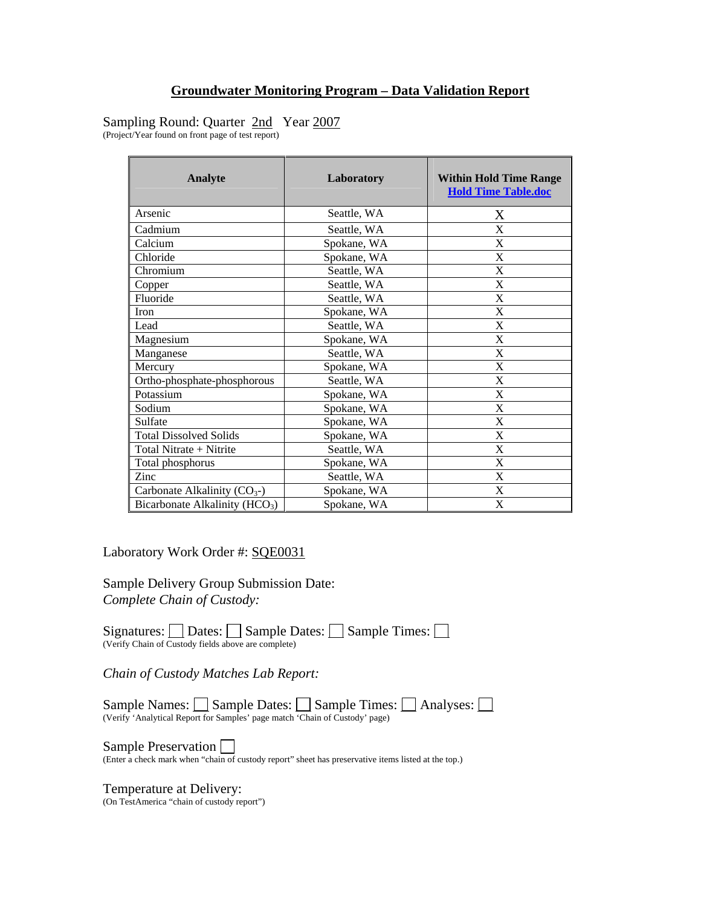**Hold Time Table.doc**

Sampling Round: Quarter 2nd Year 2007 (Project/Year found on front page of test report)

**Analyte Laboratory Within Hold Time Range**  Arsenic Seattle, WA X

| Cadmium                             | Seattle, WA | X                         |
|-------------------------------------|-------------|---------------------------|
| Calcium                             | Spokane, WA | X                         |
| Chloride                            | Spokane, WA | X                         |
| Chromium                            | Seattle, WA | X                         |
| Copper                              | Seattle, WA | X                         |
| Fluoride                            | Seattle, WA | X                         |
| Iron                                | Spokane, WA | X                         |
| Lead                                | Seattle, WA | X                         |
| Magnesium                           | Spokane, WA | X                         |
| Manganese                           | Seattle, WA | X                         |
| Mercury                             | Spokane, WA | X                         |
| Ortho-phosphate-phosphorous         | Seattle, WA | X                         |
| Potassium                           | Spokane, WA | X                         |
| Sodium                              | Spokane, WA | X                         |
| Sulfate                             | Spokane, WA | X                         |
| <b>Total Dissolved Solids</b>       | Spokane, WA | X                         |
| Total Nitrate + Nitrite             | Seattle, WA | X                         |
| Total phosphorus                    | Spokane, WA | X                         |
| Zinc                                | Seattle, WA | X                         |
| Carbonate Alkalinity $(CO_{3}^{-})$ | Spokane, WA | $\boldsymbol{\mathrm{X}}$ |
| Bicarbonate Alkalinity ( $HCO3$ )   | Spokane, WA | X                         |

Laboratory Work Order #: SQE0031

Sample Delivery Group Submission Date: *Complete Chain of Custody:* 

Signatures:  $\Box$  Dates:  $\Box$  Sample Dates:  $\Box$  Sample Times:  $\Box$ (Verify Chain of Custody fields above are complete)

*Chain of Custody Matches Lab Report:* 

Sample Names:  $\Box$  Sample Dates:  $\Box$  Sample Times:  $\Box$  Analyses:  $\Box$ (Verify 'Analytical Report for Samples' page match 'Chain of Custody' page)

Sample Preservation  $\bigsqcup$ <br>(Enter a check mark when "chain of custody report" sheet has preservative items listed at the top.)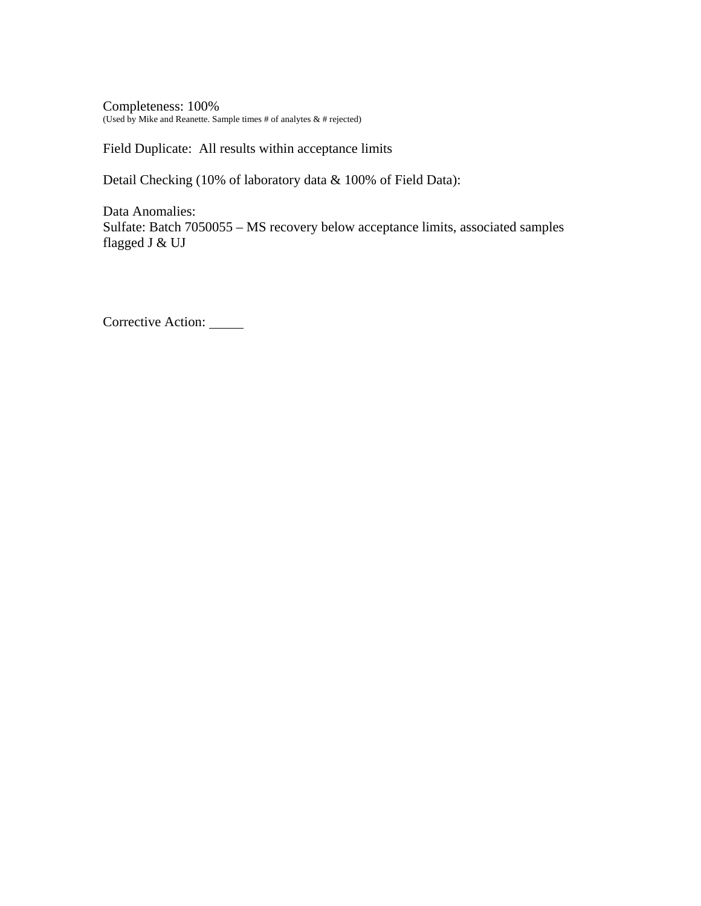Completeness: 100% (Used by Mike and Reanette. Sample times # of analytes  $\&$  # rejected)

Field Duplicate: All results within acceptance limits

Detail Checking (10% of laboratory data & 100% of Field Data):

Data Anomalies: Sulfate: Batch 7050055 – MS recovery below acceptance limits, associated samples flagged J & UJ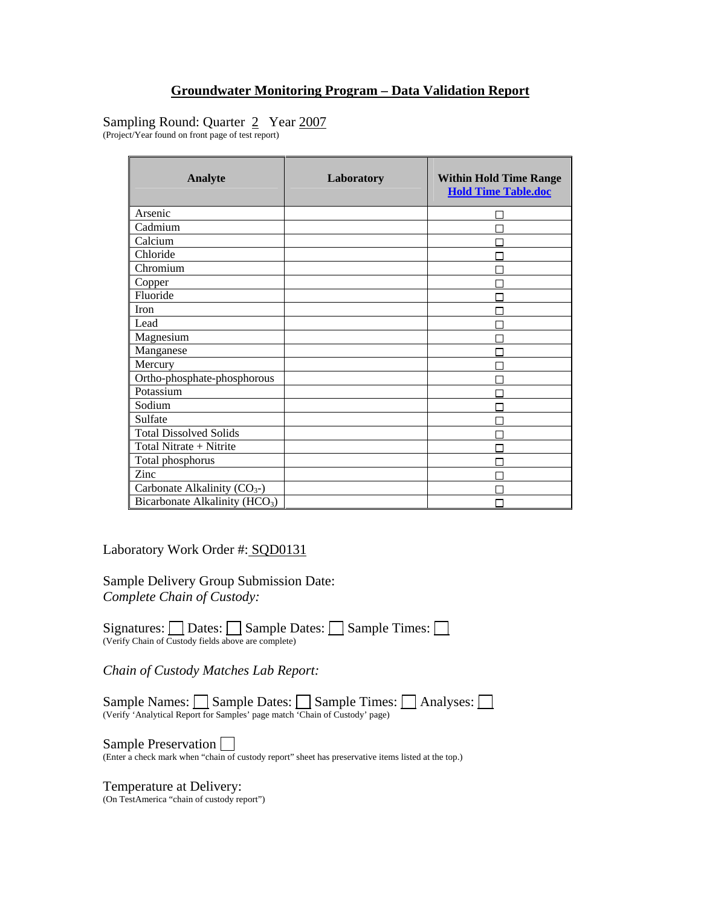## Sampling Round: Quarter 2 Year 2007

(Project/Year found on front page of test report)

| <b>Analyte</b>                             | Laboratory | <b>Within Hold Time Range</b><br><b>Hold Time Table.doc</b> |
|--------------------------------------------|------------|-------------------------------------------------------------|
| Arsenic                                    |            |                                                             |
| Cadmium                                    |            |                                                             |
| Calcium                                    |            |                                                             |
| Chloride                                   |            |                                                             |
| Chromium                                   |            |                                                             |
| Copper                                     |            |                                                             |
| Fluoride                                   |            |                                                             |
| <b>Iron</b>                                |            |                                                             |
| Lead                                       |            |                                                             |
| Magnesium                                  |            |                                                             |
| Manganese                                  |            |                                                             |
| Mercury                                    |            |                                                             |
| Ortho-phosphate-phosphorous                |            |                                                             |
| Potassium                                  |            |                                                             |
| Sodium                                     |            |                                                             |
| Sulfate                                    |            |                                                             |
| <b>Total Dissolved Solids</b>              |            |                                                             |
| Total Nitrate + Nitrite                    |            |                                                             |
| Total phosphorus                           |            |                                                             |
| Zinc                                       |            |                                                             |
| Carbonate Alkalinity $(CO_{3})$            |            |                                                             |
| Bicarbonate Alkalinity (HCO <sub>3</sub> ) |            |                                                             |

Laboratory Work Order #: SQD0131

Sample Delivery Group Submission Date: *Complete Chain of Custody:* 

Signatures:  $\Box$  Dates:  $\Box$  Sample Dates:  $\Box$  Sample Times:  $\Box$ (Verify Chain of Custody fields above are complete)

*Chain of Custody Matches Lab Report:* 

Sample Names: Sample Dates: Sample Times: Analyses: (Verify 'Analytical Report for Samples' page match 'Chain of Custody' page)

Sample Preservation  $\square$ <br>(Enter a check mark when "chain of custody report" sheet has preservative items listed at the top.)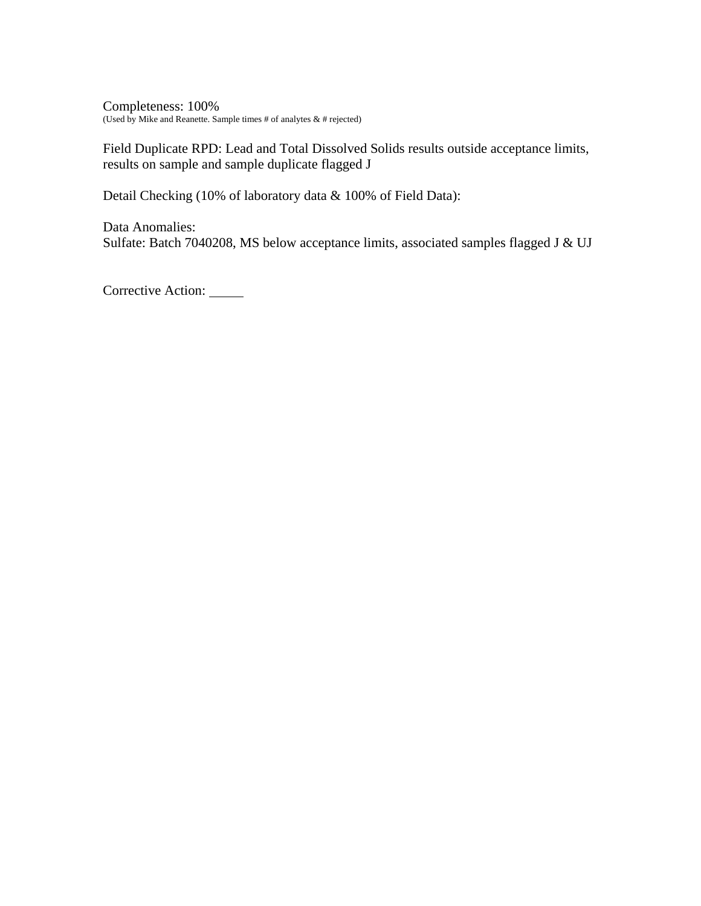Completeness: 100% (Used by Mike and Reanette. Sample times # of analytes  $\&$  # rejected)

Field Duplicate RPD: Lead and Total Dissolved Solids results outside acceptance limits, results on sample and sample duplicate flagged J

Detail Checking (10% of laboratory data & 100% of Field Data):

Data Anomalies: Sulfate: Batch 7040208, MS below acceptance limits, associated samples flagged J & UJ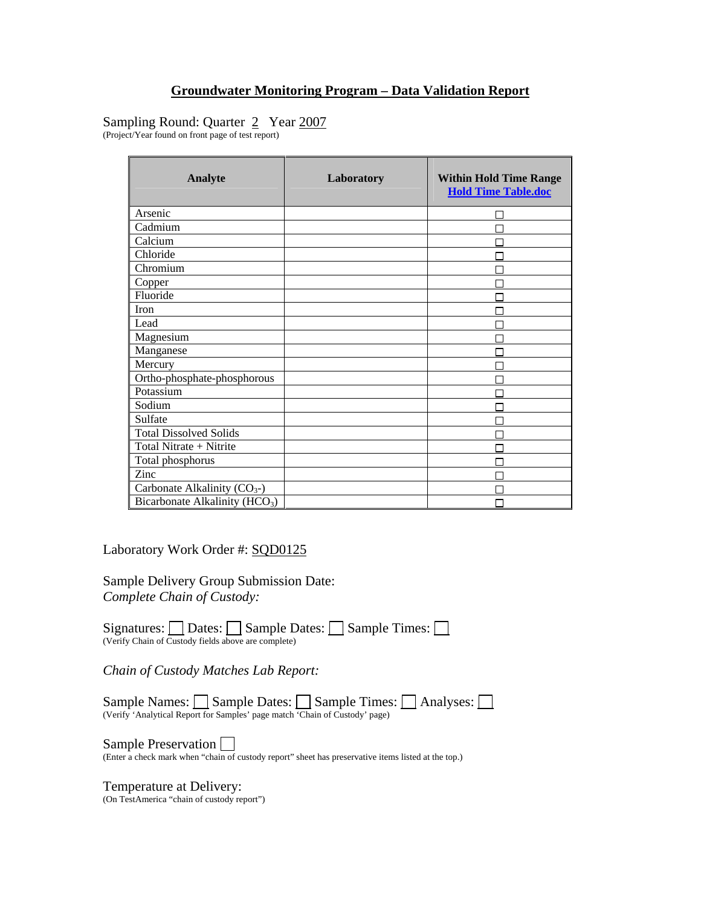## Sampling Round: Quarter 2 Year 2007

(Project/Year found on front page of test report)

| <b>Analyte</b>                             | Laboratory | <b>Within Hold Time Range</b><br><b>Hold Time Table.doc</b> |
|--------------------------------------------|------------|-------------------------------------------------------------|
| Arsenic                                    |            |                                                             |
| Cadmium                                    |            |                                                             |
| Calcium                                    |            |                                                             |
| Chloride                                   |            |                                                             |
| Chromium                                   |            |                                                             |
| Copper                                     |            |                                                             |
| Fluoride                                   |            |                                                             |
| <b>Iron</b>                                |            |                                                             |
| Lead                                       |            |                                                             |
| Magnesium                                  |            |                                                             |
| Manganese                                  |            |                                                             |
| Mercury                                    |            |                                                             |
| Ortho-phosphate-phosphorous                |            |                                                             |
| Potassium                                  |            |                                                             |
| Sodium                                     |            |                                                             |
| Sulfate                                    |            |                                                             |
| <b>Total Dissolved Solids</b>              |            |                                                             |
| Total Nitrate + Nitrite                    |            |                                                             |
| Total phosphorus                           |            |                                                             |
| Zinc                                       |            |                                                             |
| Carbonate Alkalinity $(CO_{3})$            |            |                                                             |
| Bicarbonate Alkalinity (HCO <sub>3</sub> ) |            |                                                             |

Laboratory Work Order #: SQD0125

Sample Delivery Group Submission Date: *Complete Chain of Custody:* 

Signatures:  $\Box$  Dates:  $\Box$  Sample Dates:  $\Box$  Sample Times:  $\Box$ (Verify Chain of Custody fields above are complete)

*Chain of Custody Matches Lab Report:* 

Sample Names: Sample Dates: Sample Times: Analyses: (Verify 'Analytical Report for Samples' page match 'Chain of Custody' page)

Sample Preservation  $\square$ <br>(Enter a check mark when "chain of custody report" sheet has preservative items listed at the top.)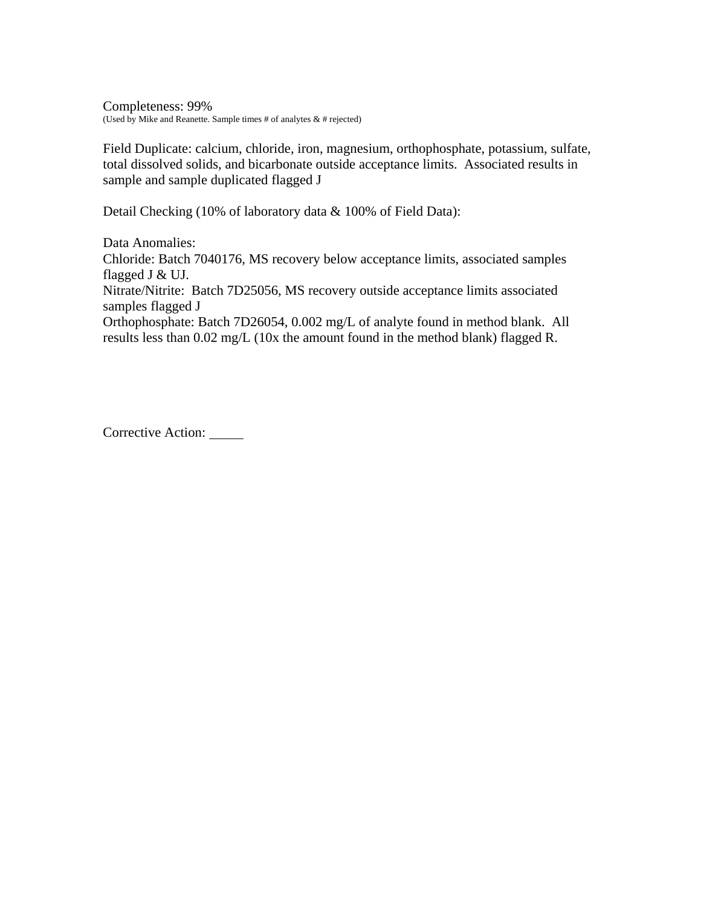Completeness: 99% (Used by Mike and Reanette. Sample times # of analytes  $\&$  # rejected)

Field Duplicate: calcium, chloride, iron, magnesium, orthophosphate, potassium, sulfate, total dissolved solids, and bicarbonate outside acceptance limits. Associated results in sample and sample duplicated flagged J

Detail Checking (10% of laboratory data & 100% of Field Data):

Data Anomalies: Chloride: Batch 7040176, MS recovery below acceptance limits, associated samples flagged J & UJ. Nitrate/Nitrite: Batch 7D25056, MS recovery outside acceptance limits associated samples flagged J

Orthophosphate: Batch 7D26054, 0.002 mg/L of analyte found in method blank. All results less than 0.02 mg/L (10x the amount found in the method blank) flagged R.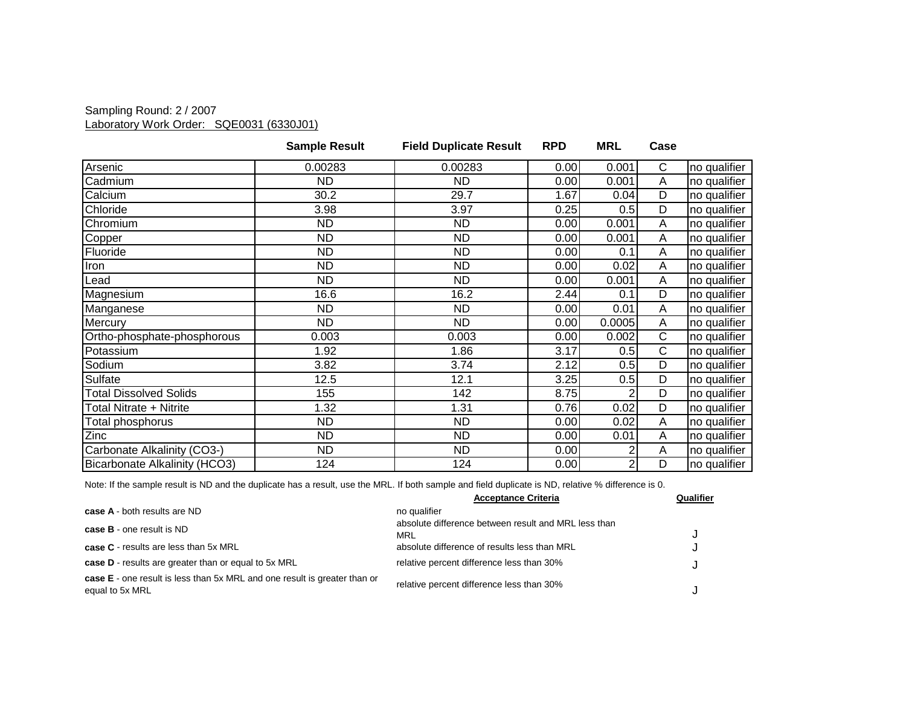### Sampling Round: 2 / 2007 Laboratory Work Order: SQE0031 (6330J01)

|                               | <b>Sample Result</b> | <b>Field Duplicate Result</b> | <b>RPD</b> | <b>MRL</b>     | Case |              |
|-------------------------------|----------------------|-------------------------------|------------|----------------|------|--------------|
| Arsenic                       | 0.00283              | 0.00283                       | 0.00       | 0.001          | C    | no qualifier |
| Cadmium                       | ND.                  | <b>ND</b>                     | 0.00       | 0.001          | A    | no qualifier |
| Calcium                       | 30.2                 | 29.7                          | 1.67       | 0.04           | D    | no qualifier |
| Chloride                      | 3.98                 | 3.97                          | 0.25       | 0.5            | D    | no qualifier |
| Chromium                      | <b>ND</b>            | <b>ND</b>                     | 0.00       | 0.001          | A    | no qualifier |
| Copper                        | ND.                  | ND.                           | 0.00       | 0.001          | Α    | no qualifier |
| Fluoride                      | <b>ND</b>            | <b>ND</b>                     | 0.00       | 0.1            | Α    | no qualifier |
| Iron                          | ND.                  | <b>ND</b>                     | 0.00       | 0.02           | A    | no qualifier |
| Lead                          | <b>ND</b>            | <b>ND</b>                     | 0.00       | 0.001          | A    | no qualifier |
| Magnesium                     | 16.6                 | 16.2                          | 2.44       | 0.1            | D    | no qualifier |
| Manganese                     | <b>ND</b>            | <b>ND</b>                     | 0.00       | 0.01           | Α    | no qualifier |
| Mercury                       | <b>ND</b>            | ND.                           | 0.00       | 0.0005         | A    | no qualifier |
| Ortho-phosphate-phosphorous   | 0.003                | 0.003                         | 0.00       | 0.002          | C    | no qualifier |
| Potassium                     | 1.92                 | 1.86                          | 3.17       | 0.5            | C    | no qualifier |
| Sodium                        | 3.82                 | 3.74                          | 2.12       | 0.5            | D    | no qualifier |
| Sulfate                       | 12.5                 | 12.1                          | 3.25       | 0.5            | D    | no qualifier |
| <b>Total Dissolved Solids</b> | 155                  | 142                           | 8.75       |                | D    | no qualifier |
| Total Nitrate + Nitrite       | 1.32                 | 1.31                          | 0.76       | 0.02           | D    | no qualifier |
| Total phosphorus              | <b>ND</b>            | <b>ND</b>                     | 0.00       | 0.02           | A    | no qualifier |
| Zinc                          | <b>ND</b>            | <b>ND</b>                     | 0.00       | 0.01           | Α    | no qualifier |
| Carbonate Alkalinity (CO3-)   | <b>ND</b>            | <b>ND</b>                     | 0.00       | 2              | A    | no qualifier |
| Bicarbonate Alkalinity (HCO3) | 124                  | 124                           | 0.00       | $\overline{2}$ | D    | no qualifier |

|                                                                                              | <b>Acceptance Criteria</b>                                  | Qualifier |
|----------------------------------------------------------------------------------------------|-------------------------------------------------------------|-----------|
| case A - both results are ND                                                                 | no qualifier                                                |           |
| <b>case B</b> - one result is ND                                                             | absolute difference between result and MRL less than<br>MRL |           |
| case C - results are less than 5x MRL                                                        | absolute difference of results less than MRL                |           |
| case D - results are greater than or equal to 5x MRL                                         | relative percent difference less than 30%                   |           |
| case E - one result is less than 5x MRL and one result is greater than or<br>equal to 5x MRL | relative percent difference less than 30%                   |           |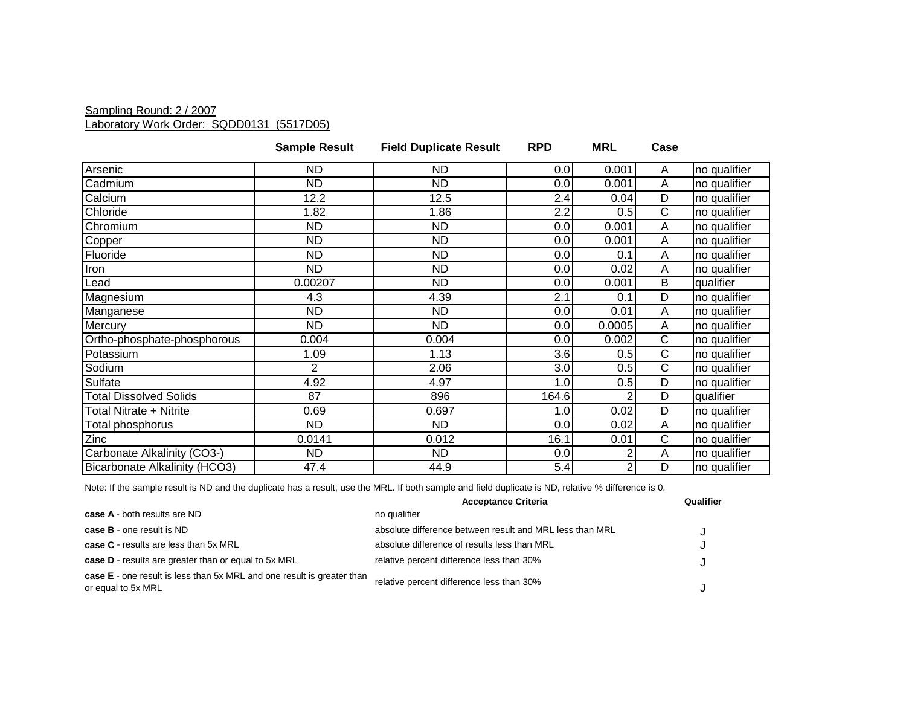### Sampling Round: 2 / 2007 Laboratory Work Order: SQDD0131 (5517D05)

|                               | <b>Sample Result</b> | <b>Field Duplicate Result</b> | <b>RPD</b> | <b>MRL</b> | Case |              |
|-------------------------------|----------------------|-------------------------------|------------|------------|------|--------------|
| Arsenic                       | <b>ND</b>            | ND.                           | 0.0        | 0.001      | A    | no qualifier |
| Cadmium                       | <b>ND</b>            | <b>ND</b>                     | 0.0        | 0.001      | A    | no qualifier |
| Calcium                       | 12.2                 | 12.5                          | 2.4        | 0.04       | D    | no qualifier |
| Chloride                      | 1.82                 | 1.86                          | 2.2        | 0.5        | С    | no qualifier |
| Chromium                      | <b>ND</b>            | <b>ND</b>                     | 0.0        | 0.001      | Α    | no qualifier |
| Copper                        | <b>ND</b>            | ND                            | 0.0        | 0.001      | A    | no qualifier |
| Fluoride                      | <b>ND</b>            | ND.                           | 0.0        | 0.1        | A    | no qualifier |
| Iron                          | <b>ND</b>            | <b>ND</b>                     | 0.0        | 0.02       | A    | no qualifier |
| Lead                          | 0.00207              | <b>ND</b>                     | 0.0        | 0.001      | B    | qualifier    |
| Magnesium                     | 4.3                  | 4.39                          | 2.1        | 0.1        | D    | no qualifier |
| Manganese                     | <b>ND</b>            | <b>ND</b>                     | 0.0        | 0.01       | Α    | no qualifier |
| Mercury                       | <b>ND</b>            | <b>ND</b>                     | 0.0        | 0.0005     | A    | no qualifier |
| Ortho-phosphate-phosphorous   | 0.004                | 0.004                         | 0.0        | 0.002      | С    | no qualifier |
| Potassium                     | 1.09                 | 1.13                          | 3.6        | 0.5        | C    | no qualifier |
| Sodium                        | 2                    | 2.06                          | 3.0        | 0.5        | C    | no qualifier |
| Sulfate                       | 4.92                 | 4.97                          | 1.0        | 0.5        | D    | no qualifier |
| <b>Total Dissolved Solids</b> | 87                   | 896                           | 164.6      |            | D    | qualifier    |
| Total Nitrate + Nitrite       | 0.69                 | 0.697                         | 1.0        | 0.02       | D    | no qualifier |
| Total phosphorus              | <b>ND</b>            | <b>ND</b>                     | 0.0        | 0.02       | A    | no qualifier |
| Zinc                          | 0.0141               | 0.012                         | 16.1       | 0.01       | С    | no qualifier |
| Carbonate Alkalinity (CO3-)   | <b>ND</b>            | <b>ND</b>                     | 0.0        |            | Α    | no qualifier |
| Bicarbonate Alkalinity (HCO3) | 47.4                 | 44.9                          | 5.4        |            | D    | no qualifier |

|                                                                                                     | <b>Acceptance Criteria</b>                               | Qualifier |
|-----------------------------------------------------------------------------------------------------|----------------------------------------------------------|-----------|
| case A - both results are ND                                                                        | no qualifier                                             |           |
| case B - one result is ND                                                                           | absolute difference between result and MRL less than MRL |           |
| <b>case C</b> - results are less than 5x MRL                                                        | absolute difference of results less than MRL             |           |
| case D - results are greater than or equal to 5x MRL                                                | relative percent difference less than 30%                |           |
| <b>case E</b> - one result is less than 5x MRL and one result is greater than<br>or equal to 5x MRL | relative percent difference less than 30%                |           |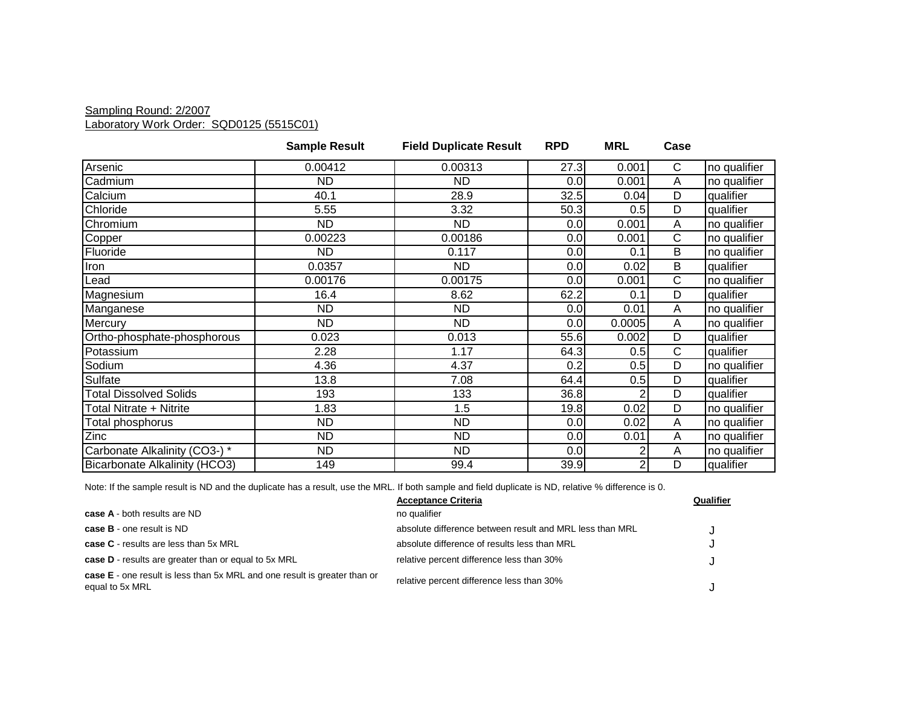#### Sampling Round: 2/2007 Laboratory Work Order: SQD0125 (5515C01)

|                               | <b>Sample Result</b> | <b>Field Duplicate Result</b> | <b>RPD</b> | <b>MRL</b>     | Case           |              |
|-------------------------------|----------------------|-------------------------------|------------|----------------|----------------|--------------|
| Arsenic                       | 0.00412              | 0.00313                       | 27.3       | 0.001          | $\mathsf{C}$   | no qualifier |
| Cadmium                       | <b>ND</b>            | <b>ND</b>                     | 0.0        | 0.001          | A              | no qualifier |
| Calcium                       | 40.1                 | 28.9                          | 32.5       | 0.04           | D              | qualifier    |
| Chloride                      | 5.55                 | 3.32                          | 50.3       | 0.5            | D              | qualifier    |
| Chromium                      | ND.                  | <b>ND</b>                     | 0.0        | 0.001          | A              | no qualifier |
| Copper                        | 0.00223              | 0.00186                       | 0.0        | 0.001          | $\mathsf{C}$   | no qualifier |
| Fluoride                      | ND                   | 0.117                         | 0.0        | 0.1            | B              | no qualifier |
| Iron                          | 0.0357               | <b>ND</b>                     | 0.0        | 0.02           | B              | qualifier    |
| Lead                          | 0.00176              | 0.00175                       | 0.0        | 0.001          | $\mathsf{C}$   | no qualifier |
| Magnesium                     | 16.4                 | 8.62                          | 62.2       | 0.1            | D              | qualifier    |
| Manganese                     | <b>ND</b>            | <b>ND</b>                     | 0.0        | 0.01           | A              | no qualifier |
| Mercury                       | ND.                  | <b>ND</b>                     | 0.0        | 0.0005         | A              | no qualifier |
| Ortho-phosphate-phosphorous   | 0.023                | 0.013                         | 55.6       | 0.002          | D              | qualifier    |
| Potassium                     | 2.28                 | 1.17                          | 64.3       | 0.5            | $\mathsf{C}$   | qualifier    |
| Sodium                        | 4.36                 | 4.37                          | 0.2        | 0.5            | D              | no qualifier |
| Sulfate                       | 13.8                 | 7.08                          | 64.4       | 0.5            | $\overline{D}$ | qualifier    |
| <b>Total Dissolved Solids</b> | 193                  | 133                           | 36.8       | 2              | D              | qualifier    |
| Total Nitrate + Nitrite       | 1.83                 | 1.5                           | 19.8       | 0.02           | D              | no qualifier |
| Total phosphorus              | <b>ND</b>            | <b>ND</b>                     | 0.0        | 0.02           | A              | no qualifier |
| Zinc                          | <b>ND</b>            | <b>ND</b>                     | 0.0        | 0.01           | $\overline{A}$ | no qualifier |
| Carbonate Alkalinity (CO3-) * | <b>ND</b>            | <b>ND</b>                     | 0.0        | 2              | A              | no qualifier |
| Bicarbonate Alkalinity (HCO3) | 149                  | 99.4                          | 39.9       | $\overline{c}$ | D              | qualifier    |

|                                                                                              | <b>Acceptance Criteria</b>                               | Qualifier |
|----------------------------------------------------------------------------------------------|----------------------------------------------------------|-----------|
| <b>case A</b> - both results are ND                                                          | no qualifier                                             |           |
| <b>case B</b> - one result is ND                                                             | absolute difference between result and MRL less than MRL |           |
| <b>case C</b> - results are less than 5x MRL                                                 | absolute difference of results less than MRL             |           |
| <b>case D</b> - results are greater than or equal to 5x MRL                                  | relative percent difference less than 30%                |           |
| case E - one result is less than 5x MRL and one result is greater than or<br>equal to 5x MRL | relative percent difference less than 30%                |           |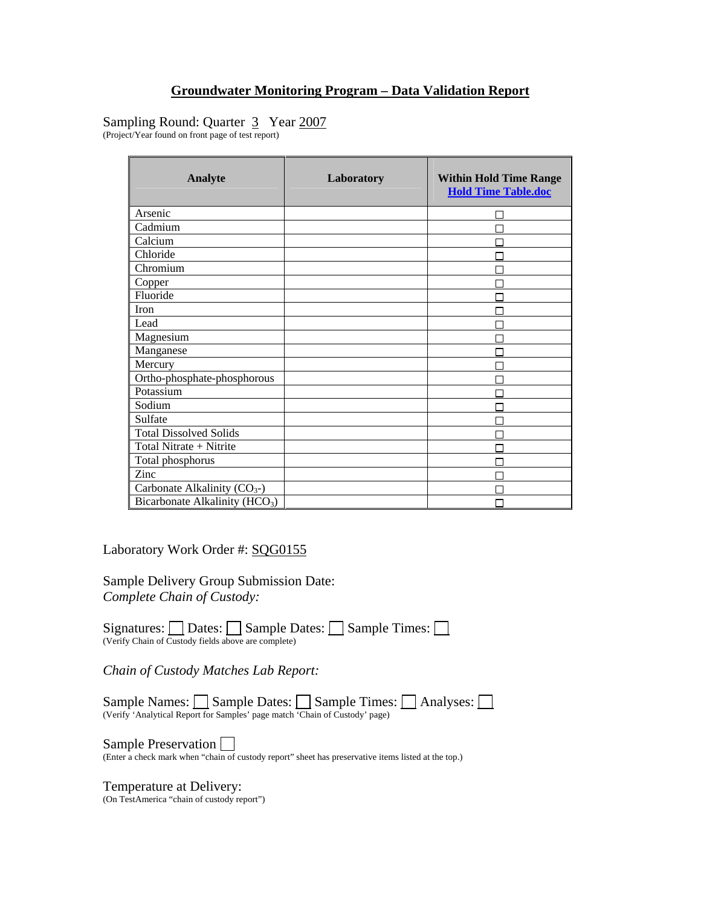## Sampling Round: Quarter 3 Year 2007

(Project/Year found on front page of test report)

| <b>Analyte</b>                             | Laboratory | <b>Within Hold Time Range</b><br><b>Hold Time Table.doc</b> |
|--------------------------------------------|------------|-------------------------------------------------------------|
| Arsenic                                    |            |                                                             |
| Cadmium                                    |            |                                                             |
| Calcium                                    |            |                                                             |
| Chloride                                   |            |                                                             |
| Chromium                                   |            |                                                             |
| Copper                                     |            |                                                             |
| Fluoride                                   |            |                                                             |
| <b>Iron</b>                                |            |                                                             |
| Lead                                       |            |                                                             |
| Magnesium                                  |            |                                                             |
| Manganese                                  |            |                                                             |
| Mercury                                    |            |                                                             |
| Ortho-phosphate-phosphorous                |            |                                                             |
| Potassium                                  |            |                                                             |
| Sodium                                     |            |                                                             |
| Sulfate                                    |            |                                                             |
| <b>Total Dissolved Solids</b>              |            |                                                             |
| Total Nitrate + Nitrite                    |            |                                                             |
| Total phosphorus                           |            |                                                             |
| Zinc                                       |            |                                                             |
| Carbonate Alkalinity $(CO_{3})$            |            |                                                             |
| Bicarbonate Alkalinity (HCO <sub>3</sub> ) |            |                                                             |

Laboratory Work Order #: SQG0155

Sample Delivery Group Submission Date: *Complete Chain of Custody:* 

Signatures:  $\Box$  Dates:  $\Box$  Sample Dates:  $\Box$  Sample Times:  $\Box$ (Verify Chain of Custody fields above are complete)

*Chain of Custody Matches Lab Report:* 

Sample Names: Sample Dates: Sample Times: Analyses: (Verify 'Analytical Report for Samples' page match 'Chain of Custody' page)

Sample Preservation  $\square$ <br>(Enter a check mark when "chain of custody report" sheet has preservative items listed at the top.)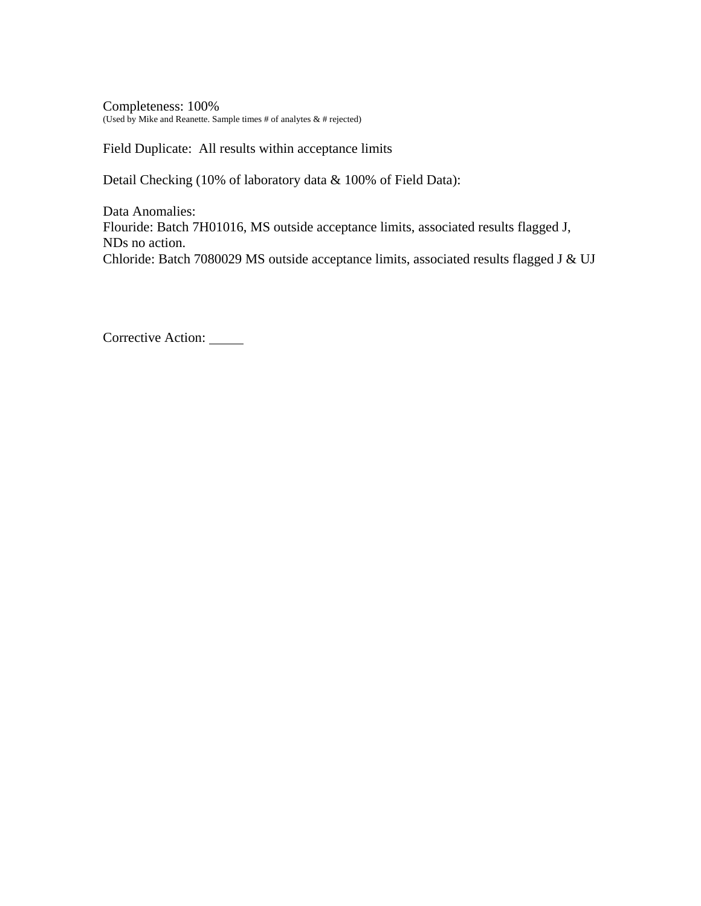Completeness: 100% (Used by Mike and Reanette. Sample times # of analytes  $\&$  # rejected)

Field Duplicate: All results within acceptance limits

Detail Checking (10% of laboratory data & 100% of Field Data):

Data Anomalies: Flouride: Batch 7H01016, MS outside acceptance limits, associated results flagged J, NDs no action. Chloride: Batch 7080029 MS outside acceptance limits, associated results flagged J & UJ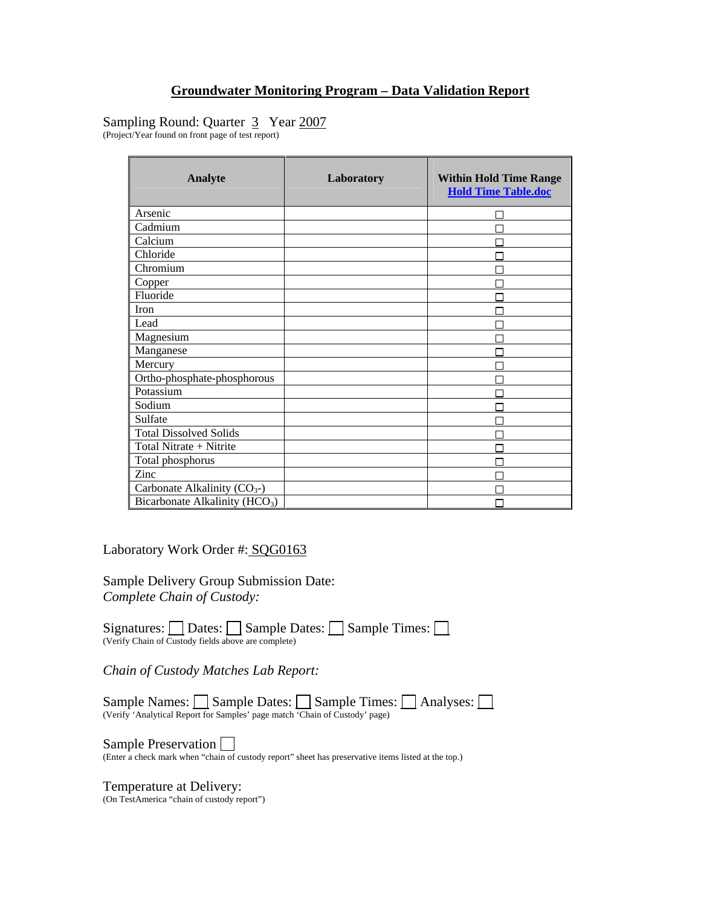## Sampling Round: Quarter 3 Year 2007

(Project/Year found on front page of test report)

| <b>Analyte</b>                             | Laboratory | <b>Within Hold Time Range</b><br><b>Hold Time Table.doc</b> |
|--------------------------------------------|------------|-------------------------------------------------------------|
| Arsenic                                    |            |                                                             |
| Cadmium                                    |            |                                                             |
| Calcium                                    |            |                                                             |
| Chloride                                   |            |                                                             |
| Chromium                                   |            |                                                             |
| Copper                                     |            |                                                             |
| Fluoride                                   |            |                                                             |
| Iron                                       |            |                                                             |
| Lead                                       |            |                                                             |
| Magnesium                                  |            |                                                             |
| Manganese                                  |            |                                                             |
| Mercury                                    |            |                                                             |
| Ortho-phosphate-phosphorous                |            |                                                             |
| Potassium                                  |            |                                                             |
| Sodium                                     |            |                                                             |
| Sulfate                                    |            |                                                             |
| <b>Total Dissolved Solids</b>              |            |                                                             |
| Total Nitrate + Nitrite                    |            |                                                             |
| Total phosphorus                           |            |                                                             |
| Zinc                                       |            |                                                             |
| Carbonate Alkalinity $(CO_{3})$            |            |                                                             |
| Bicarbonate Alkalinity (HCO <sub>3</sub> ) |            |                                                             |

Laboratory Work Order #: SQG0163

Sample Delivery Group Submission Date: *Complete Chain of Custody:* 

Signatures:  $\Box$  Dates:  $\Box$  Sample Dates:  $\Box$  Sample Times:  $\Box$ (Verify Chain of Custody fields above are complete)

*Chain of Custody Matches Lab Report:* 

Sample Names: Sample Dates: Sample Times: Analyses: (Verify 'Analytical Report for Samples' page match 'Chain of Custody' page)

Sample Preservation  $\square$ <br>(Enter a check mark when "chain of custody report" sheet has preservative items listed at the top.)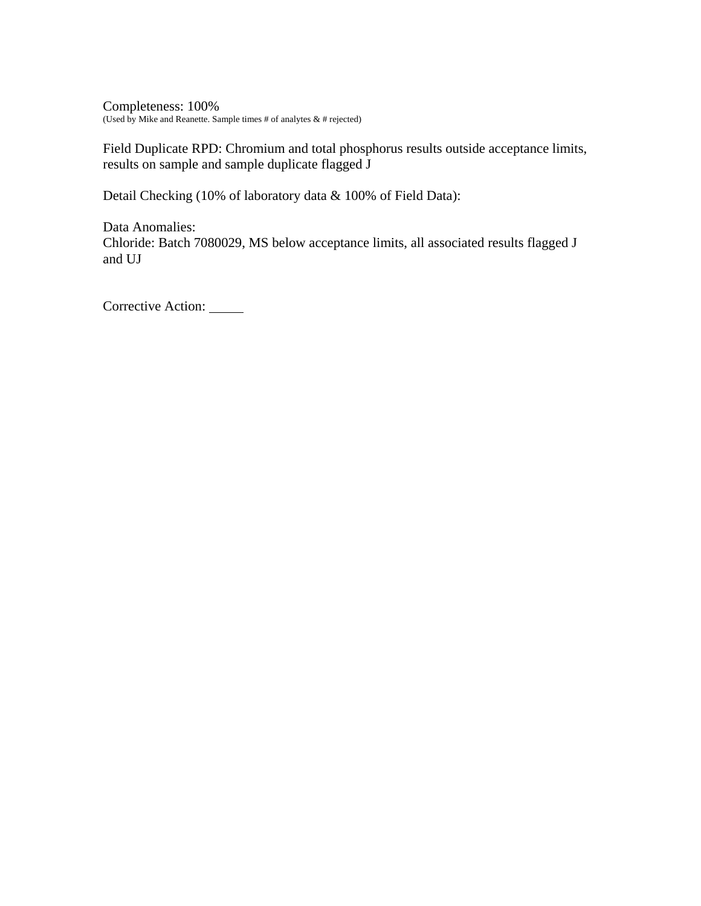Completeness: 100% (Used by Mike and Reanette. Sample times # of analytes  $\&$  # rejected)

Field Duplicate RPD: Chromium and total phosphorus results outside acceptance limits, results on sample and sample duplicate flagged J

Detail Checking (10% of laboratory data & 100% of Field Data):

Data Anomalies: Chloride: Batch 7080029, MS below acceptance limits, all associated results flagged J and UJ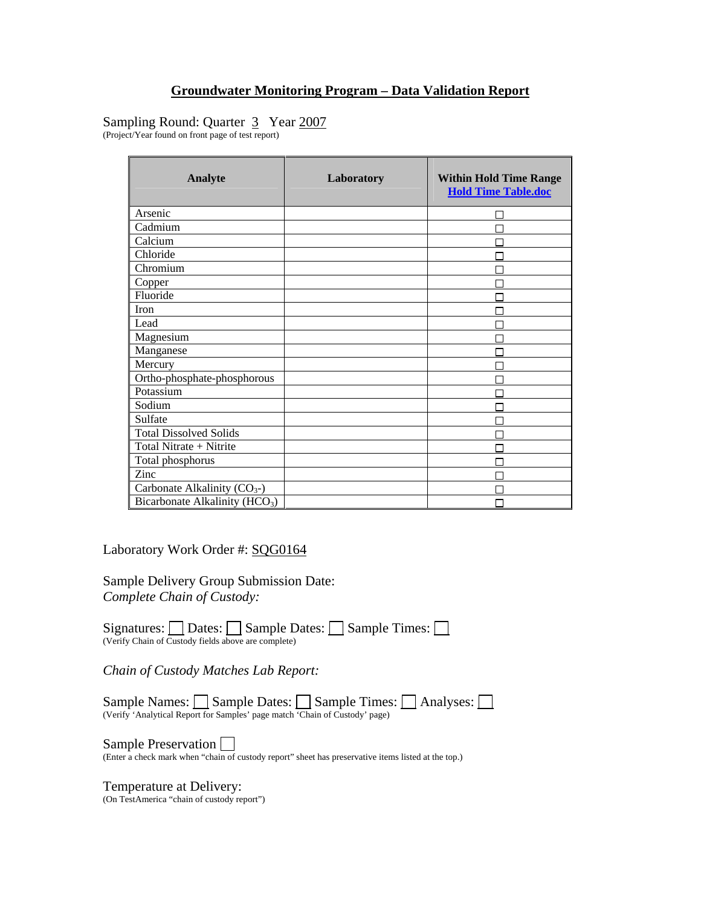## Sampling Round: Quarter 3 Year 2007

(Project/Year found on front page of test report)

| <b>Analyte</b>                             | Laboratory | <b>Within Hold Time Range</b><br><b>Hold Time Table.doc</b> |
|--------------------------------------------|------------|-------------------------------------------------------------|
| Arsenic                                    |            |                                                             |
| Cadmium                                    |            |                                                             |
| Calcium                                    |            |                                                             |
| Chloride                                   |            |                                                             |
| Chromium                                   |            |                                                             |
| Copper                                     |            |                                                             |
| Fluoride                                   |            |                                                             |
| Iron                                       |            |                                                             |
| Lead                                       |            |                                                             |
| Magnesium                                  |            |                                                             |
| Manganese                                  |            |                                                             |
| Mercury                                    |            |                                                             |
| Ortho-phosphate-phosphorous                |            |                                                             |
| Potassium                                  |            |                                                             |
| Sodium                                     |            |                                                             |
| Sulfate                                    |            |                                                             |
| <b>Total Dissolved Solids</b>              |            |                                                             |
| Total Nitrate + Nitrite                    |            |                                                             |
| Total phosphorus                           |            |                                                             |
| Zinc                                       |            |                                                             |
| Carbonate Alkalinity $(CO_{3})$            |            |                                                             |
| Bicarbonate Alkalinity (HCO <sub>3</sub> ) |            |                                                             |

Laboratory Work Order #: SQG0164

Sample Delivery Group Submission Date: *Complete Chain of Custody:* 

Signatures:  $\Box$  Dates:  $\Box$  Sample Dates:  $\Box$  Sample Times:  $\Box$ (Verify Chain of Custody fields above are complete)

*Chain of Custody Matches Lab Report:* 

Sample Names: Sample Dates: Sample Times: Analyses: (Verify 'Analytical Report for Samples' page match 'Chain of Custody' page)

Sample Preservation  $\square$ <br>(Enter a check mark when "chain of custody report" sheet has preservative items listed at the top.)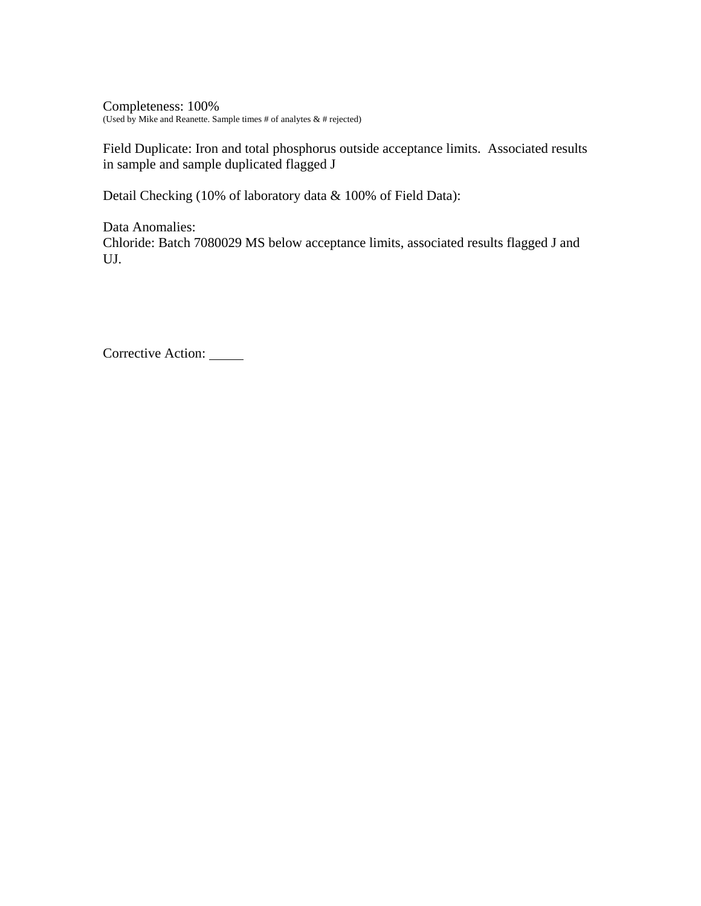Completeness: 100% (Used by Mike and Reanette. Sample times # of analytes  $\&$  # rejected)

Field Duplicate: Iron and total phosphorus outside acceptance limits. Associated results in sample and sample duplicated flagged J

Detail Checking (10% of laboratory data & 100% of Field Data):

Data Anomalies: Chloride: Batch 7080029 MS below acceptance limits, associated results flagged J and UJ.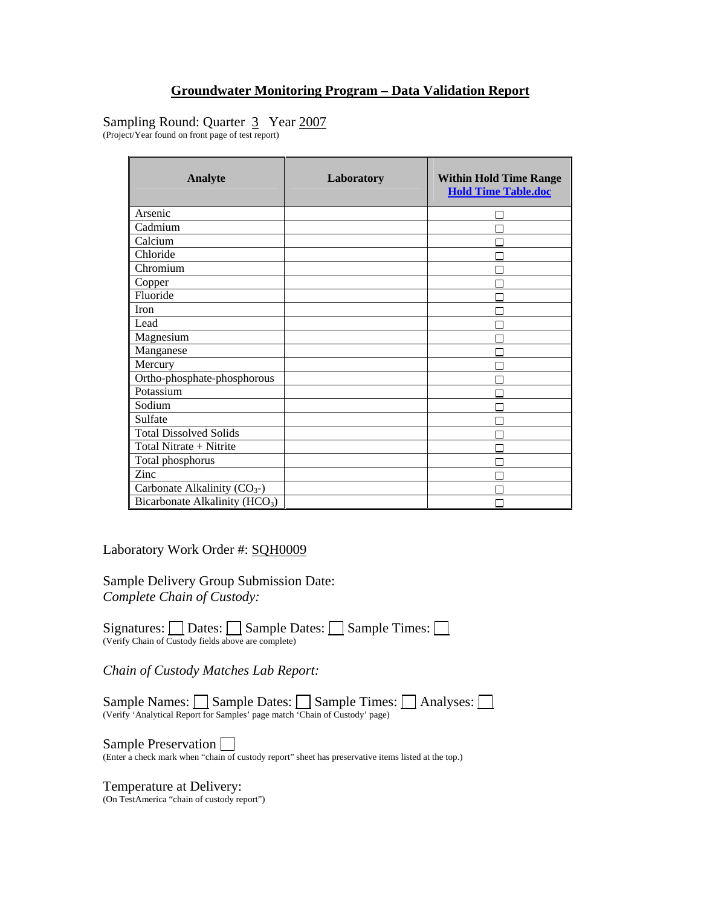## Sampling Round: Quarter 3 Year 2007

(Project/Year found on front page of test report)

| <b>Analyte</b>                             | Laboratory | <b>Within Hold Time Range</b><br><b>Hold Time Table.doc</b> |
|--------------------------------------------|------------|-------------------------------------------------------------|
| Arsenic                                    |            |                                                             |
| Cadmium                                    |            |                                                             |
| Calcium                                    |            |                                                             |
| Chloride                                   |            |                                                             |
| Chromium                                   |            |                                                             |
| Copper                                     |            |                                                             |
| Fluoride                                   |            |                                                             |
| <b>Iron</b>                                |            |                                                             |
| Lead                                       |            |                                                             |
| Magnesium                                  |            |                                                             |
| Manganese                                  |            |                                                             |
| Mercury                                    |            |                                                             |
| Ortho-phosphate-phosphorous                |            |                                                             |
| Potassium                                  |            |                                                             |
| Sodium                                     |            |                                                             |
| Sulfate                                    |            |                                                             |
| <b>Total Dissolved Solids</b>              |            |                                                             |
| Total Nitrate + Nitrite                    |            |                                                             |
| Total phosphorus                           |            |                                                             |
| Zinc                                       |            |                                                             |
| Carbonate Alkalinity $(CO_{3})$            |            |                                                             |
| Bicarbonate Alkalinity (HCO <sub>3</sub> ) |            |                                                             |

Laboratory Work Order #: SQH0009

Sample Delivery Group Submission Date: *Complete Chain of Custody:* 

Signatures:  $\Box$  Dates:  $\Box$  Sample Dates:  $\Box$  Sample Times:  $\Box$ (Verify Chain of Custody fields above are complete)

*Chain of Custody Matches Lab Report:* 

Sample Names: Sample Dates: Sample Times: Analyses: (Verify 'Analytical Report for Samples' page match 'Chain of Custody' page)

Sample Preservation  $\square$ <br>(Enter a check mark when "chain of custody report" sheet has preservative items listed at the top.)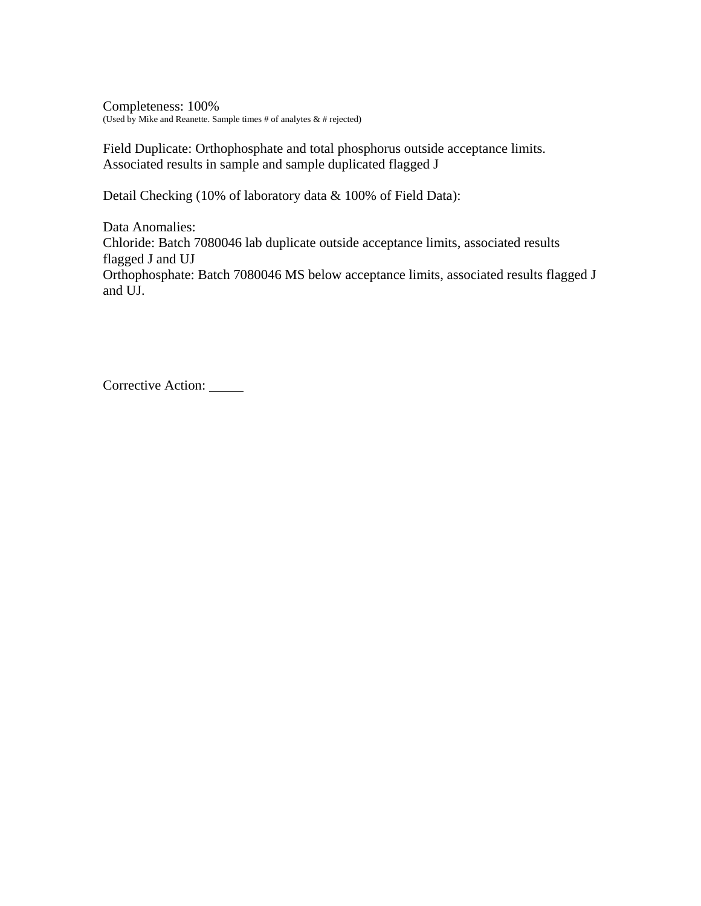Completeness: 100% (Used by Mike and Reanette. Sample times # of analytes  $\&$  # rejected)

Field Duplicate: Orthophosphate and total phosphorus outside acceptance limits. Associated results in sample and sample duplicated flagged J

Detail Checking (10% of laboratory data & 100% of Field Data):

Data Anomalies: Chloride: Batch 7080046 lab duplicate outside acceptance limits, associated results flagged J and UJ Orthophosphate: Batch 7080046 MS below acceptance limits, associated results flagged J and UJ.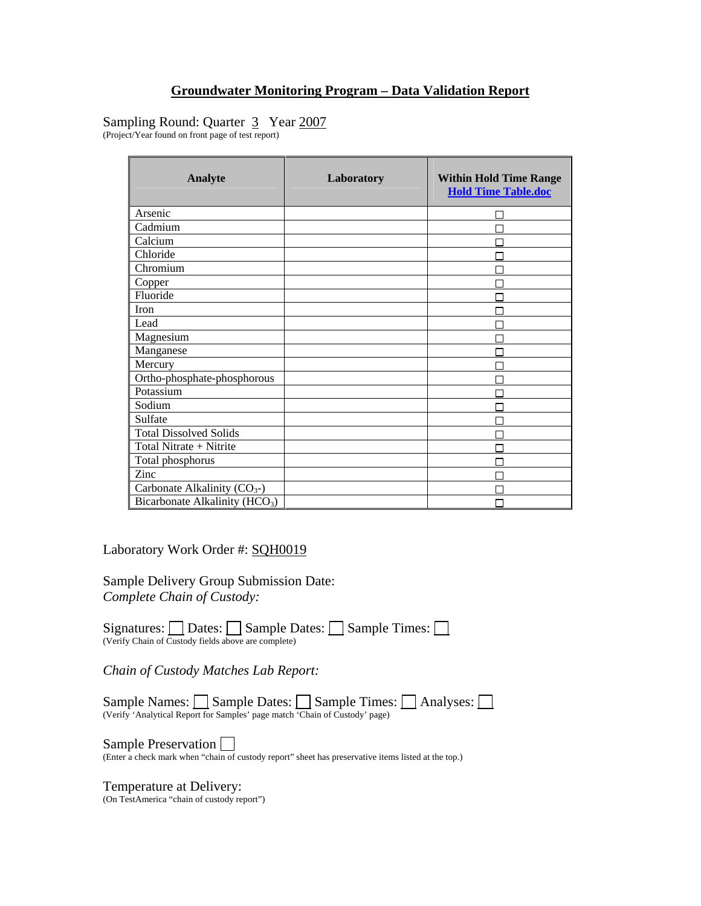## Sampling Round: Quarter 3 Year 2007

(Project/Year found on front page of test report)

| <b>Analyte</b>                             | Laboratory | <b>Within Hold Time Range</b><br><b>Hold Time Table.doc</b> |
|--------------------------------------------|------------|-------------------------------------------------------------|
| Arsenic                                    |            |                                                             |
| Cadmium                                    |            |                                                             |
| Calcium                                    |            |                                                             |
| Chloride                                   |            |                                                             |
| Chromium                                   |            |                                                             |
| Copper                                     |            |                                                             |
| Fluoride                                   |            |                                                             |
| <b>Iron</b>                                |            |                                                             |
| Lead                                       |            |                                                             |
| Magnesium                                  |            |                                                             |
| Manganese                                  |            |                                                             |
| Mercury                                    |            |                                                             |
| Ortho-phosphate-phosphorous                |            |                                                             |
| Potassium                                  |            |                                                             |
| Sodium                                     |            |                                                             |
| Sulfate                                    |            |                                                             |
| <b>Total Dissolved Solids</b>              |            |                                                             |
| Total Nitrate + Nitrite                    |            |                                                             |
| Total phosphorus                           |            |                                                             |
| Zinc                                       |            |                                                             |
| Carbonate Alkalinity $(CO_{3})$            |            |                                                             |
| Bicarbonate Alkalinity (HCO <sub>3</sub> ) |            |                                                             |

Laboratory Work Order #: SQH0019

Sample Delivery Group Submission Date: *Complete Chain of Custody:* 

Signatures:  $\Box$  Dates:  $\Box$  Sample Dates:  $\Box$  Sample Times:  $\Box$ (Verify Chain of Custody fields above are complete)

*Chain of Custody Matches Lab Report:* 

Sample Names: Sample Dates: Sample Times: Analyses: (Verify 'Analytical Report for Samples' page match 'Chain of Custody' page)

Sample Preservation  $\square$ <br>(Enter a check mark when "chain of custody report" sheet has preservative items listed at the top.)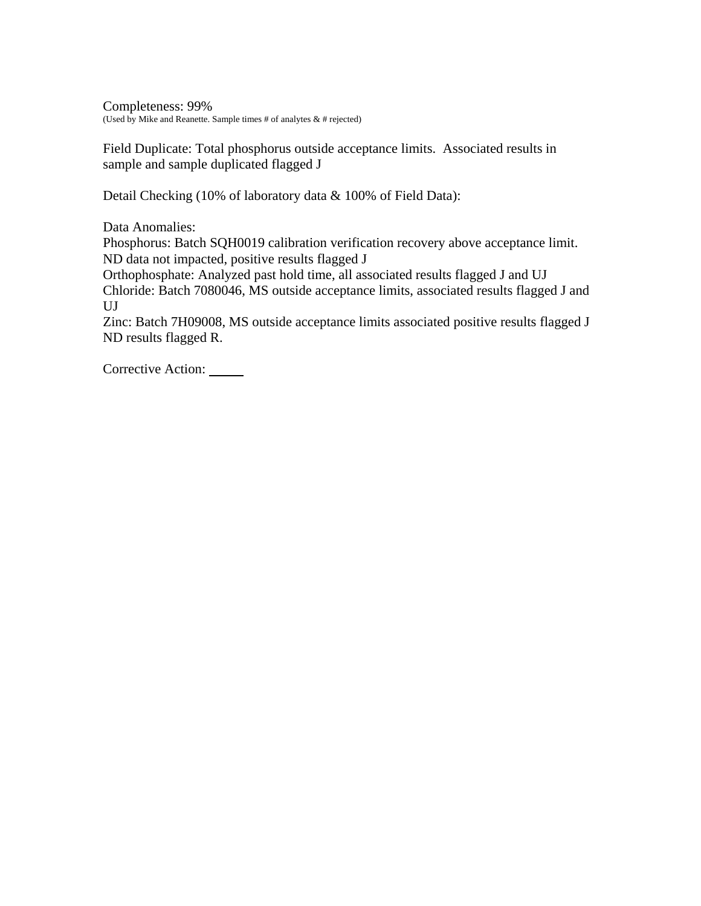Completeness: 99% (Used by Mike and Reanette. Sample times # of analytes  $\&$  # rejected)

Field Duplicate: Total phosphorus outside acceptance limits. Associated results in sample and sample duplicated flagged J

Detail Checking (10% of laboratory data & 100% of Field Data):

Data Anomalies:

Phosphorus: Batch SQH0019 calibration verification recovery above acceptance limit. ND data not impacted, positive results flagged J

Orthophosphate: Analyzed past hold time, all associated results flagged J and UJ Chloride: Batch 7080046, MS outside acceptance limits, associated results flagged J and UJ

Zinc: Batch 7H09008, MS outside acceptance limits associated positive results flagged J ND results flagged R.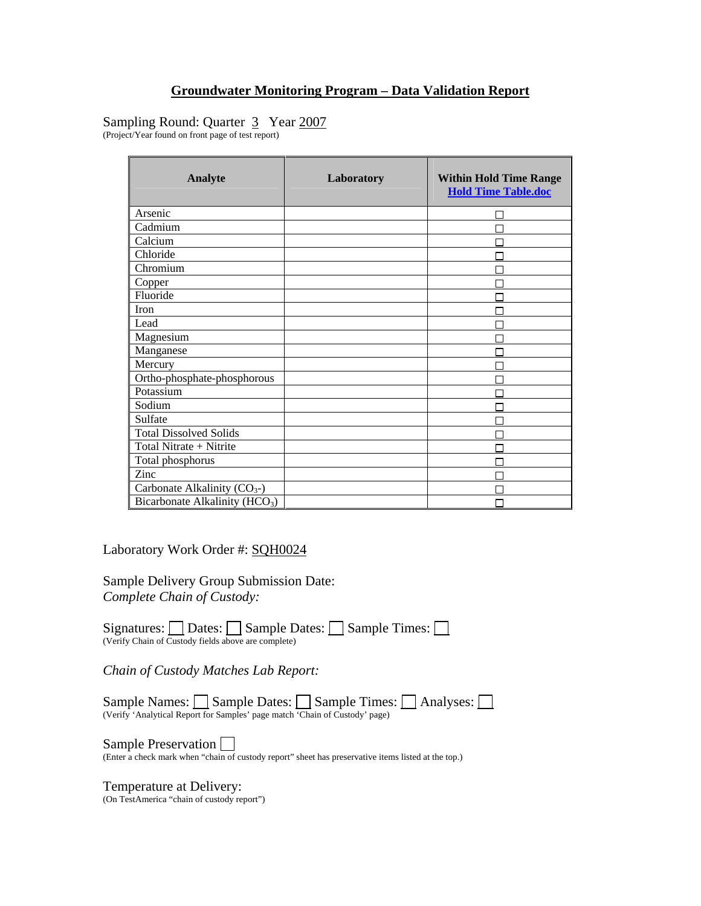## Sampling Round: Quarter 3 Year 2007

(Project/Year found on front page of test report)

| <b>Analyte</b>                             | Laboratory | <b>Within Hold Time Range</b><br><b>Hold Time Table.doc</b> |
|--------------------------------------------|------------|-------------------------------------------------------------|
| Arsenic                                    |            |                                                             |
| Cadmium                                    |            |                                                             |
| Calcium                                    |            |                                                             |
| Chloride                                   |            |                                                             |
| Chromium                                   |            |                                                             |
| Copper                                     |            |                                                             |
| Fluoride                                   |            |                                                             |
| Iron                                       |            |                                                             |
| Lead                                       |            |                                                             |
| Magnesium                                  |            |                                                             |
| Manganese                                  |            |                                                             |
| Mercury                                    |            |                                                             |
| Ortho-phosphate-phosphorous                |            |                                                             |
| Potassium                                  |            |                                                             |
| Sodium                                     |            |                                                             |
| Sulfate                                    |            |                                                             |
| <b>Total Dissolved Solids</b>              |            |                                                             |
| Total Nitrate + Nitrite                    |            |                                                             |
| Total phosphorus                           |            |                                                             |
| Zinc                                       |            |                                                             |
| Carbonate Alkalinity $(CO_{3})$            |            |                                                             |
| Bicarbonate Alkalinity (HCO <sub>3</sub> ) |            |                                                             |

Laboratory Work Order #: SQH0024

Sample Delivery Group Submission Date: *Complete Chain of Custody:* 

Signatures:  $\Box$  Dates:  $\Box$  Sample Dates:  $\Box$  Sample Times:  $\Box$ (Verify Chain of Custody fields above are complete)

*Chain of Custody Matches Lab Report:* 

Sample Names: Sample Dates: Sample Times: Analyses: (Verify 'Analytical Report for Samples' page match 'Chain of Custody' page)

Sample Preservation  $\square$ <br>(Enter a check mark when "chain of custody report" sheet has preservative items listed at the top.)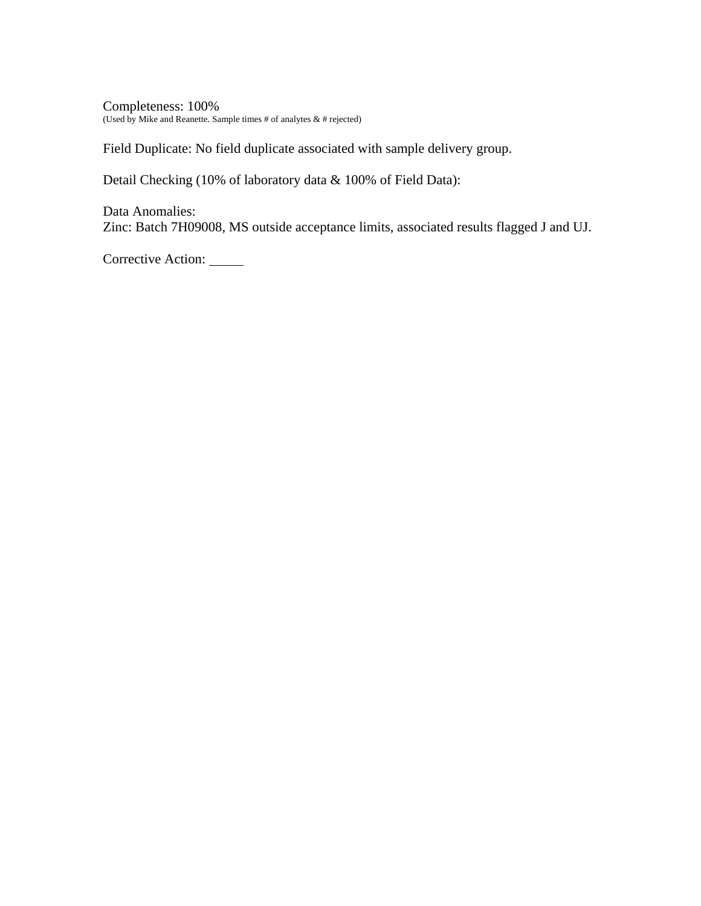Completeness: 100% (Used by Mike and Reanette. Sample times # of analytes  $\&$  # rejected)

Field Duplicate: No field duplicate associated with sample delivery group.

Detail Checking (10% of laboratory data & 100% of Field Data):

Data Anomalies: Zinc: Batch 7H09008, MS outside acceptance limits, associated results flagged J and UJ.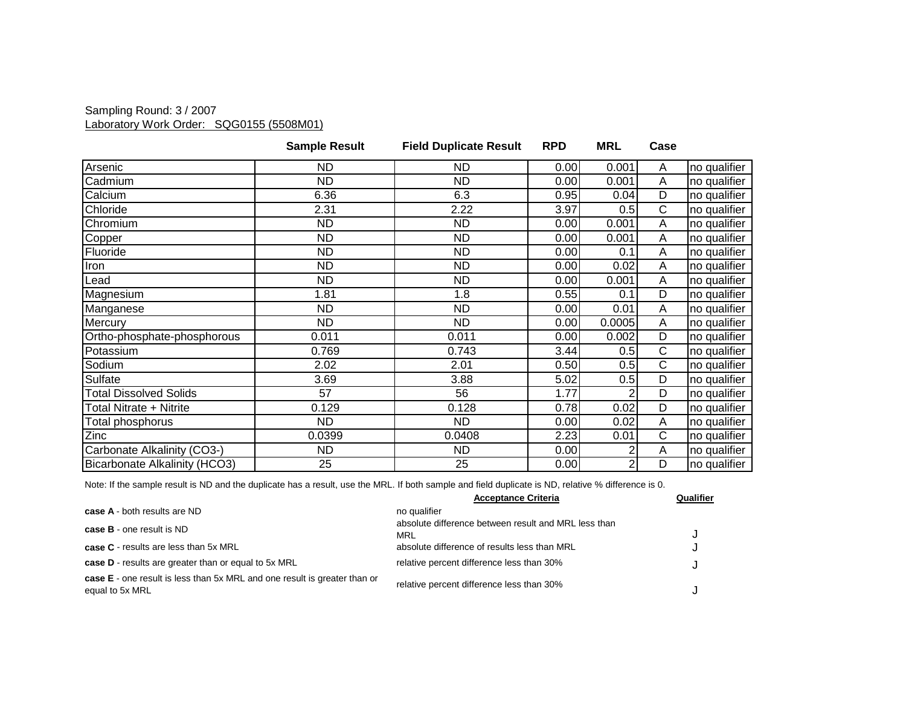### Sampling Round: 3 / 2007 Laboratory Work Order: SQG0155 (5508M01)

|                               | <b>Sample Result</b> | <b>Field Duplicate Result</b> | <b>RPD</b> | <b>MRL</b>     | Case                  |              |
|-------------------------------|----------------------|-------------------------------|------------|----------------|-----------------------|--------------|
| Arsenic                       | ND                   | ND.                           | 0.00       | 0.001          | Α                     | no qualifier |
| Cadmium                       | <b>ND</b>            | <b>ND</b>                     | 0.00       | 0.001          | A                     | no qualifier |
| Calcium                       | 6.36                 | 6.3                           | 0.95       | 0.04           | D                     | no qualifier |
| Chloride                      | 2.31                 | 2.22                          | 3.97       | 0.5            | $\overline{\text{C}}$ | no qualifier |
| Chromium                      | <b>ND</b>            | ND                            | 0.00       | 0.001          | A                     | no qualifier |
| Copper                        | <b>ND</b>            | <b>ND</b>                     | 0.00       | 0.001          | A                     | no qualifier |
| Fluoride                      | ND                   | ND                            | 0.00       | 0.1            | Α                     | no qualifier |
| Iron                          | <b>ND</b>            | <b>ND</b>                     | 0.00       | 0.02           | Α                     | no qualifier |
| Lead                          | <b>ND</b>            | <b>ND</b>                     | 0.00       | 0.001          | A                     | no qualifier |
| Magnesium                     | 1.81                 | 1.8                           | 0.55       | 0.1            | D                     | no qualifier |
| Manganese                     | ND.                  | ND                            | 0.00       | 0.01           | A                     | no qualifier |
| Mercury                       | <b>ND</b>            | <b>ND</b>                     | 0.00       | 0.0005         | A                     | no qualifier |
| Ortho-phosphate-phosphorous   | 0.011                | 0.011                         | 0.00       | 0.002          | D                     | no qualifier |
| Potassium                     | 0.769                | 0.743                         | 3.44       | 0.5            | $\overline{C}$        | no qualifier |
| Sodium                        | 2.02                 | 2.01                          | 0.50       | 0.5            | C                     | no qualifier |
| Sulfate                       | 3.69                 | 3.88                          | 5.02       | 0.5            | D                     | no qualifier |
| <b>Total Dissolved Solids</b> | 57                   | 56                            | 1.77       |                | D                     | no qualifier |
| Total Nitrate + Nitrite       | 0.129                | 0.128                         | 0.78       | 0.02           | D                     | no qualifier |
| Total phosphorus              | ND                   | <b>ND</b>                     | 0.00       | 0.02           | A                     | no qualifier |
| Zinc                          | 0.0399               | 0.0408                        | 2.23       | 0.01           | C                     | no qualifier |
| Carbonate Alkalinity (CO3-)   | <b>ND</b>            | <b>ND</b>                     | 0.00       | 2              | A                     | no qualifier |
| Bicarbonate Alkalinity (HCO3) | 25                   | 25                            | 0.00       | $\overline{2}$ | D                     | no qualifier |

|                                                                                              | <b>Acceptance Criteria</b>                                  | Qualifier |
|----------------------------------------------------------------------------------------------|-------------------------------------------------------------|-----------|
| case A - both results are ND                                                                 | no qualifier                                                |           |
| <b>case B</b> - one result is ND                                                             | absolute difference between result and MRL less than<br>MRL |           |
| <b>case C</b> - results are less than 5x MRL                                                 | absolute difference of results less than MRL                |           |
| case D - results are greater than or equal to 5x MRL                                         | relative percent difference less than 30%                   |           |
| case E - one result is less than 5x MRL and one result is greater than or<br>equal to 5x MRL | relative percent difference less than 30%                   |           |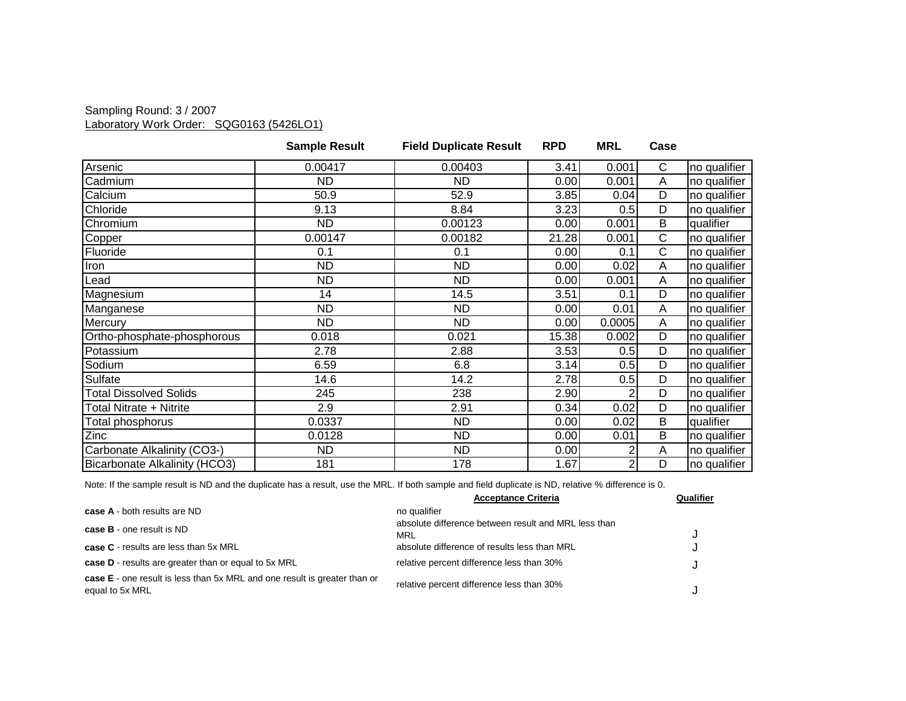### Sampling Round: 3 / 2007 Laboratory Work Order: SQG0163 (5426LO1)

|                               | <b>Sample Result</b> | <b>Field Duplicate Result</b> | <b>RPD</b> | <b>MRL</b>     | Case |              |
|-------------------------------|----------------------|-------------------------------|------------|----------------|------|--------------|
| Arsenic                       | 0.00417              | 0.00403                       | 3.41       | 0.001          | C    | no qualifier |
| Cadmium                       | ND                   | <b>ND</b>                     | 0.00       | 0.001          | A    | no qualifier |
| Calcium                       | 50.9                 | 52.9                          | 3.85       | 0.04           | D    | no qualifier |
| Chloride                      | 9.13                 | 8.84                          | 3.23       | 0.5            | D    | no qualifier |
| Chromium                      | <b>ND</b>            | 0.00123                       | 0.00       | 0.001          | B    | qualifier    |
| Copper                        | 0.00147              | 0.00182                       | 21.28      | 0.001          | C    | no qualifier |
| Fluoride                      | 0.1                  | 0.1                           | 0.00       | 0.1            | C    | no qualifier |
| Iron                          | <b>ND</b>            | ND                            | 0.00       | 0.02           | A    | no qualifier |
| Lead                          | <b>ND</b>            | <b>ND</b>                     | 0.00       | 0.001          | A    | no qualifier |
| Magnesium                     | 14                   | 14.5                          | 3.51       | 0.1            | D    | no qualifier |
| Manganese                     | <b>ND</b>            | ND                            | 0.00       | 0.01           | A    | no qualifier |
| Mercury                       | ND.                  | ND                            | 0.00       | 0.0005         | A    | no qualifier |
| Ortho-phosphate-phosphorous   | 0.018                | 0.021                         | 15.38      | 0.002          | D    | no qualifier |
| Potassium                     | 2.78                 | 2.88                          | 3.53       | 0.5            | D    | no qualifier |
| Sodium                        | 6.59                 | 6.8                           | 3.14       | 0.5            | D    | no qualifier |
| Sulfate                       | 14.6                 | 14.2                          | 2.78       | 0.5            | D    | no qualifier |
| <b>Total Dissolved Solids</b> | 245                  | 238                           | 2.90       |                | D    | no qualifier |
| Total Nitrate + Nitrite       | 2.9                  | 2.91                          | 0.34       | 0.02           | D    | no qualifier |
| Total phosphorus              | 0.0337               | ND                            | 0.00       | 0.02           | B    | qualifier    |
| Zinc                          | 0.0128               | ND                            | 0.00       | 0.01           | B    | no qualifier |
| Carbonate Alkalinity (CO3-)   | <b>ND</b>            | <b>ND</b>                     | 0.00       | $\overline{2}$ | A    | no qualifier |
| Bicarbonate Alkalinity (HCO3) | 181                  | 178                           | 1.67       | $\overline{2}$ | D    | no qualifier |

|                                                                                                     | <b>Acceptance Criteria</b>                                  | Qualifier |
|-----------------------------------------------------------------------------------------------------|-------------------------------------------------------------|-----------|
| case A - both results are ND                                                                        | no qualifier                                                |           |
| <b>case B</b> - one result is ND                                                                    | absolute difference between result and MRL less than<br>MRL |           |
| <b>case C</b> - results are less than 5x MRL                                                        | absolute difference of results less than MRL                |           |
| case D - results are greater than or equal to 5x MRL                                                | relative percent difference less than 30%                   |           |
| <b>case E</b> - one result is less than 5x MRL and one result is greater than or<br>equal to 5x MRL | relative percent difference less than 30%                   |           |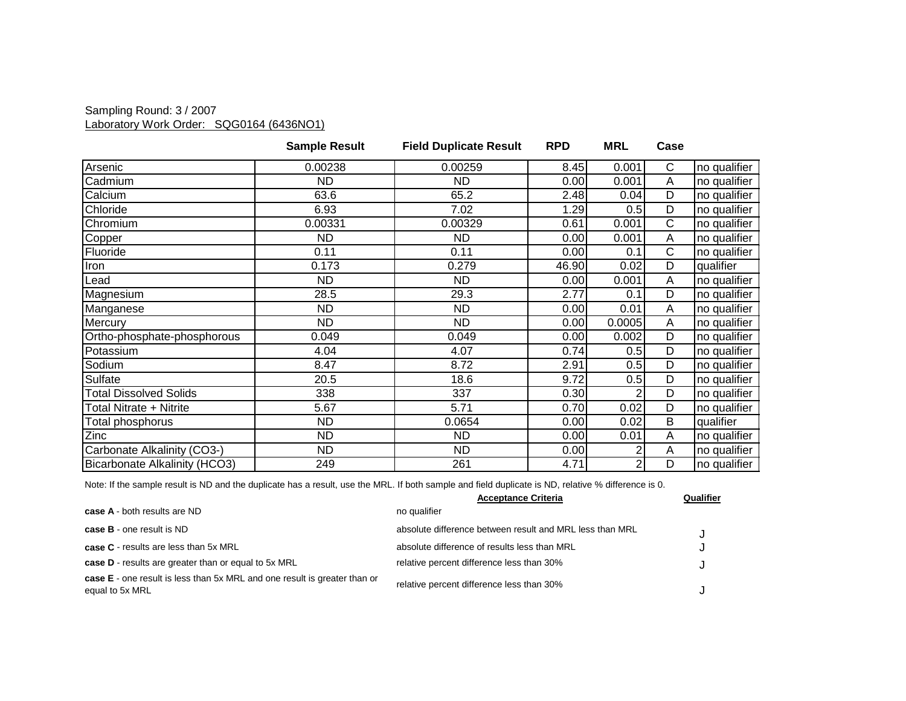### Sampling Round: 3 / 2007 Laboratory Work Order: SQG0164 (6436NO1)

|                               | <b>Sample Result</b> | <b>Field Duplicate Result</b> | <b>RPD</b> | <b>MRL</b> | Case |              |
|-------------------------------|----------------------|-------------------------------|------------|------------|------|--------------|
| Arsenic                       | 0.00238              | 0.00259                       | 8.45       | 0.001      | C    | no qualifier |
| Cadmium                       | ND                   | ND                            | 0.00       | 0.001      | A    | no qualifier |
| Calcium                       | 63.6                 | 65.2                          | 2.48       | 0.04       | D    | no qualifier |
| Chloride                      | 6.93                 | 7.02                          | 1.29       | 0.5        | D    | no qualifier |
| Chromium                      | 0.00331              | 0.00329                       | 0.61       | 0.001      | C    | no qualifier |
| Copper                        | <b>ND</b>            | ND                            | 0.00       | 0.001      | A    | no qualifier |
| Fluoride                      | 0.11                 | 0.11                          | 0.00       | 0.1        | С    | no qualifier |
| Iron                          | 0.173                | 0.279                         | 46.90      | 0.02       | D    | qualifier    |
| Lead                          | <b>ND</b>            | ND.                           | 0.00       | 0.001      | A    | no qualifier |
| Magnesium                     | 28.5                 | 29.3                          | 2.77       | 0.1        | D    | no qualifier |
| Manganese                     | ND.                  | <b>ND</b>                     | 0.00       | 0.01       | A    | no qualifier |
| Mercury                       | <b>ND</b>            | <b>ND</b>                     | 0.00       | 0.0005     | A    | no qualifier |
| Ortho-phosphate-phosphorous   | 0.049                | 0.049                         | 0.00       | 0.002      | D    | no qualifier |
| Potassium                     | 4.04                 | 4.07                          | 0.74       | 0.5        | D    | no qualifier |
| Sodium                        | 8.47                 | 8.72                          | 2.91       | 0.5        | D    | no qualifier |
| Sulfate                       | 20.5                 | 18.6                          | 9.72       | 0.5        | D    | no qualifier |
| <b>Total Dissolved Solids</b> | 338                  | 337                           | 0.30       | 2          | D    | no qualifier |
| Total Nitrate + Nitrite       | 5.67                 | 5.71                          | 0.70       | 0.02       | D    | no qualifier |
| Total phosphorus              | <b>ND</b>            | 0.0654                        | 0.00       | 0.02       | B    | qualifier    |
| Zinc                          | ND                   | ND                            | 0.00       | 0.01       | A    | no qualifier |
| Carbonate Alkalinity (CO3-)   | <b>ND</b>            | <b>ND</b>                     | 0.00       | 2          | A    | no qualifier |
| Bicarbonate Alkalinity (HCO3) | 249                  | 261                           | 4.71       | 2          | D    | no qualifier |

|                                                                                              | <b>Acceptance Criteria</b>                               | Qualifier |
|----------------------------------------------------------------------------------------------|----------------------------------------------------------|-----------|
| case A - both results are ND                                                                 | no qualifier                                             |           |
| <b>case B</b> - one result is ND                                                             | absolute difference between result and MRL less than MRL |           |
| case C - results are less than 5x MRL                                                        | absolute difference of results less than MRL             |           |
| case D - results are greater than or equal to 5x MRL                                         | relative percent difference less than 30%                |           |
| case E - one result is less than 5x MRL and one result is greater than or<br>equal to 5x MRL | relative percent difference less than 30%                |           |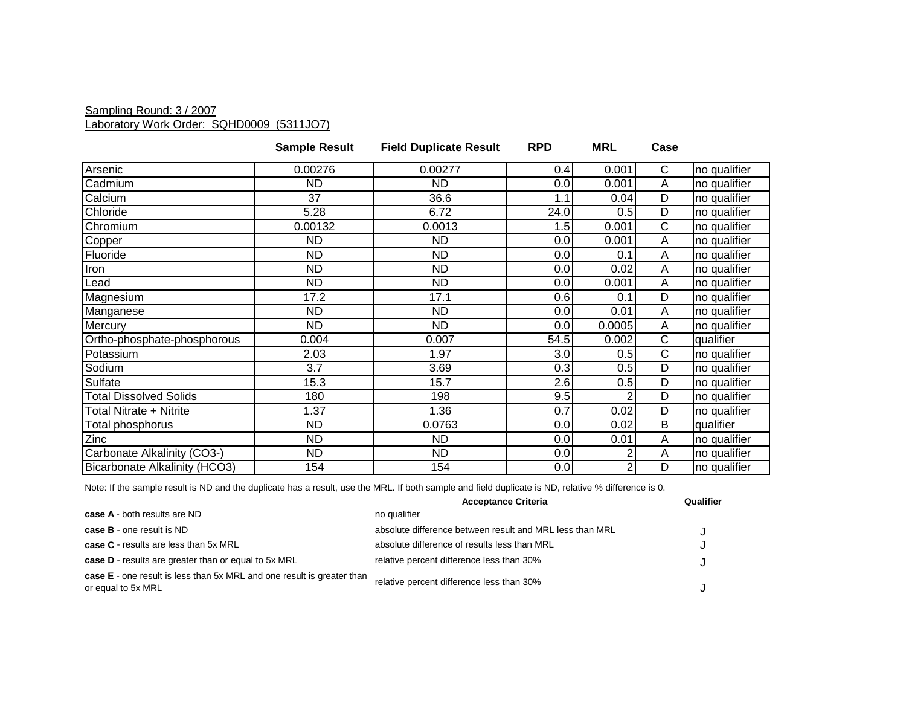#### Sampling Round: 3 / 2007 Laboratory Work Order: SQHD0009 (5311JO7)

|                               | <b>Sample Result</b> | <b>Field Duplicate Result</b> | <b>RPD</b> | <b>MRL</b> | Case         |              |
|-------------------------------|----------------------|-------------------------------|------------|------------|--------------|--------------|
| Arsenic                       | 0.00276              | 0.00277                       | 0.4        | 0.001      | C            | no qualifier |
| Cadmium                       | <b>ND</b>            | <b>ND</b>                     | 0.0        | 0.001      | A            | no qualifier |
| Calcium                       | 37                   | 36.6                          | 1.1        | 0.04       | D            | no qualifier |
| Chloride                      | 5.28                 | 6.72                          | 24.0       | 0.5        | D            | no qualifier |
| Chromium                      | 0.00132              | 0.0013                        | 1.5        | 0.001      | $\mathsf{C}$ | no qualifier |
| Copper                        | ND.                  | <b>ND</b>                     | 0.0        | 0.001      | Α            | no qualifier |
| Fluoride                      | ND.                  | ND.                           | 0.0        | 0.1        | Α            | no qualifier |
| Iron                          | <b>ND</b>            | <b>ND</b>                     | 0.0        | 0.02       | Α            | no qualifier |
| Lead                          | <b>ND</b>            | <b>ND</b>                     | 0.0        | 0.001      | A            | no qualifier |
| Magnesium                     | 17.2                 | 17.1                          | 0.6        | 0.1        | D            | no qualifier |
| Manganese                     | <b>ND</b>            | <b>ND</b>                     | 0.0        | 0.01       | Α            | no qualifier |
| Mercury                       | <b>ND</b>            | ND.                           | 0.0        | 0.0005     | A            | no qualifier |
| Ortho-phosphate-phosphorous   | 0.004                | 0.007                         | 54.5       | 0.002      | С            | qualifier    |
| Potassium                     | 2.03                 | 1.97                          | 3.0        | 0.5        | C            | no qualifier |
| Sodium                        | 3.7                  | 3.69                          | 0.3        | 0.5        | D            | no qualifier |
| Sulfate                       | 15.3                 | 15.7                          | 2.6        | 0.5        | D            | no qualifier |
| <b>Total Dissolved Solids</b> | 180                  | 198                           | 9.5        |            | D            | no qualifier |
| Total Nitrate + Nitrite       | 1.37                 | 1.36                          | 0.7        | 0.02       | D            | no qualifier |
| Total phosphorus              | <b>ND</b>            | 0.0763                        | 0.0        | 0.02       | B            | qualifier    |
| Zinc                          | <b>ND</b>            | <b>ND</b>                     | 0.0        | 0.01       | Α            | no qualifier |
| Carbonate Alkalinity (CO3-)   | <b>ND</b>            | <b>ND</b>                     | 0.0        |            | Α            | no qualifier |
| Bicarbonate Alkalinity (HCO3) | 154                  | 154                           | 0.0        |            | D            | no qualifier |

|                                                                                                     | <b>Acceptance Criteria</b>                               | Qualifier |
|-----------------------------------------------------------------------------------------------------|----------------------------------------------------------|-----------|
| <b>case A</b> - both results are ND                                                                 | no qualifier                                             |           |
| case B - one result is ND                                                                           | absolute difference between result and MRL less than MRL |           |
| case C - results are less than 5x MRL                                                               | absolute difference of results less than MRL             | J         |
| case D - results are greater than or equal to 5x MRL                                                | relative percent difference less than 30%                |           |
| <b>case E</b> - one result is less than 5x MRL and one result is greater than<br>or equal to 5x MRL | relative percent difference less than 30%                |           |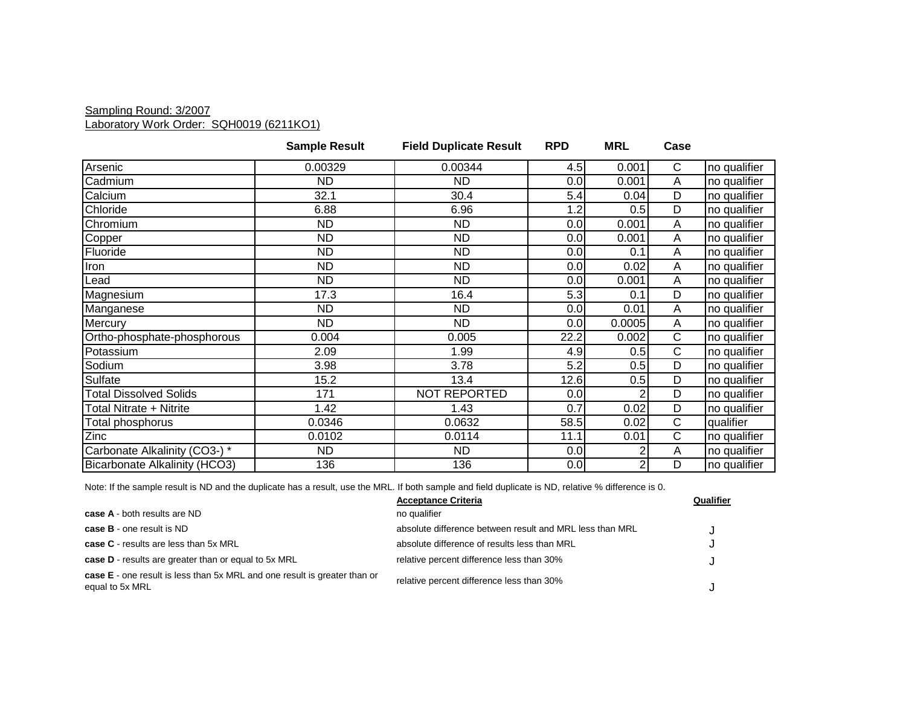### Sampling Round: 3/2007 Laboratory Work Order: SQH0019 (6211KO1)

|                               | <b>Sample Result</b> | <b>Field Duplicate Result</b> | <b>RPD</b> | <b>MRL</b>     | Case           |              |
|-------------------------------|----------------------|-------------------------------|------------|----------------|----------------|--------------|
| Arsenic                       | 0.00329              | 0.00344                       | 4.5        | 0.001          | $\mathsf{C}$   | no qualifier |
| Cadmium                       | ND.                  | ND.                           | 0.0        | 0.001          | A              | no qualifier |
| Calcium                       | 32.1                 | 30.4                          | 5.4        | 0.04           | D              | no qualifier |
| Chloride                      | 6.88                 | 6.96                          | 1.2        | 0.5            | D              | no qualifier |
| Chromium                      | ND.                  | <b>ND</b>                     | 0.0        | 0.001          | A              | no qualifier |
| Copper                        | ND.                  | <b>ND</b>                     | 0.0        | 0.001          | $\overline{A}$ | no qualifier |
| Fluoride                      | <b>ND</b>            | <b>ND</b>                     | 0.0        | 0.1            | A              | no qualifier |
| Iron                          | ND                   | <b>ND</b>                     | 0.0        | 0.02           | Α              | no qualifier |
| Lead                          | <b>ND</b>            | <b>ND</b>                     | 0.0        | 0.001          | A              | no qualifier |
| Magnesium                     | 17.3                 | 16.4                          | 5.3        | 0.1            | D              | no qualifier |
| Manganese                     | <b>ND</b>            | <b>ND</b>                     | 0.0        | 0.01           | $\overline{A}$ | no qualifier |
| Mercury                       | ND                   | <b>ND</b>                     | 0.0        | 0.0005         | A              | no qualifier |
| Ortho-phosphate-phosphorous   | 0.004                | 0.005                         | 22.2       | 0.002          | $\mathsf{C}$   | no qualifier |
| Potassium                     | 2.09                 | 1.99                          | 4.9        | 0.5            | $\mathsf{C}$   | no qualifier |
| Sodium                        | 3.98                 | 3.78                          | 5.2        | 0.5            | D              | no qualifier |
| Sulfate                       | 15.2                 | 13.4                          | 12.6       | 0.5            | $\overline{D}$ | no qualifier |
| <b>Total Dissolved Solids</b> | 171                  | NOT REPORTED                  | 0.0        | 2              | D              | no qualifier |
| Total Nitrate + Nitrite       | 1.42                 | 1.43                          | 0.7        | 0.02           | D              | no qualifier |
| Total phosphorus              | 0.0346               | 0.0632                        | 58.5       | 0.02           | $\mathsf{C}$   | qualifier    |
| Zinc                          | 0.0102               | 0.0114                        | 11.1       | 0.01           | $\mathsf{C}$   | no qualifier |
| Carbonate Alkalinity (CO3-) * | <b>ND</b>            | <b>ND</b>                     | 0.0        | 2              | A              | no qualifier |
| Bicarbonate Alkalinity (HCO3) | 136                  | 136                           | 0.0        | $\overline{c}$ | D              | no qualifier |

|                                                                                              | <b>Acceptance Criteria</b>                               | Qualifier |
|----------------------------------------------------------------------------------------------|----------------------------------------------------------|-----------|
| <b>case A</b> - both results are ND                                                          | no qualifier                                             |           |
| case B - one result is ND                                                                    | absolute difference between result and MRL less than MRL |           |
| <b>case C</b> - results are less than 5x MRL                                                 | absolute difference of results less than MRL             |           |
| <b>case D</b> - results are greater than or equal to 5x MRL                                  | relative percent difference less than 30%                |           |
| case E - one result is less than 5x MRL and one result is greater than or<br>equal to 5x MRL | relative percent difference less than 30%                |           |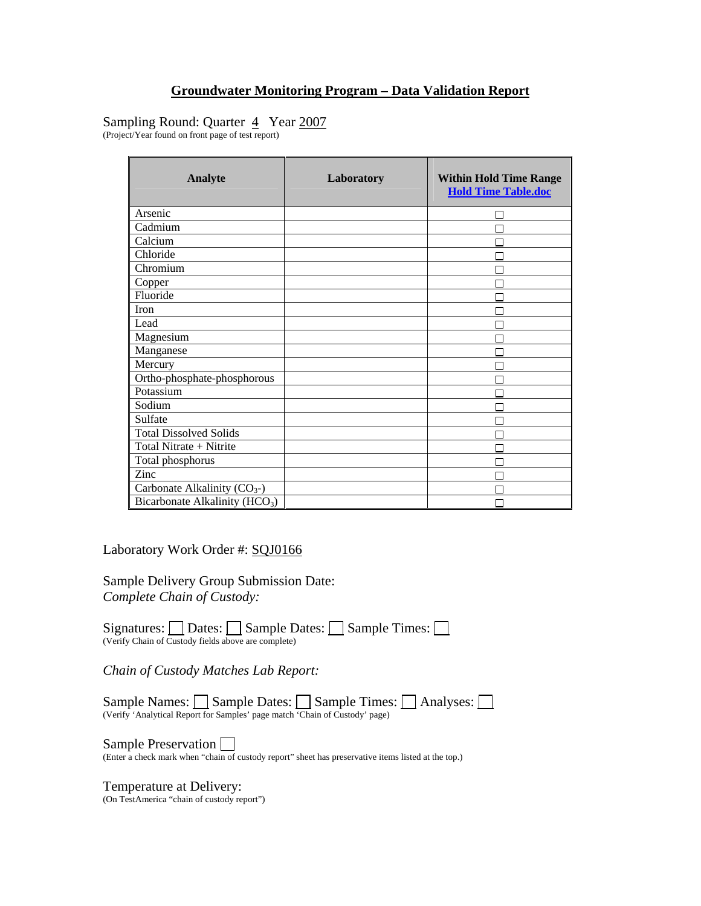## Sampling Round: Quarter 4 Year 2007

(Project/Year found on front page of test report)

| <b>Analyte</b>                             | Laboratory | <b>Within Hold Time Range</b><br><b>Hold Time Table.doc</b> |
|--------------------------------------------|------------|-------------------------------------------------------------|
| Arsenic                                    |            |                                                             |
| Cadmium                                    |            |                                                             |
| Calcium                                    |            |                                                             |
| Chloride                                   |            |                                                             |
| Chromium                                   |            |                                                             |
| Copper                                     |            |                                                             |
| Fluoride                                   |            |                                                             |
| Iron                                       |            |                                                             |
| Lead                                       |            |                                                             |
| Magnesium                                  |            |                                                             |
| Manganese                                  |            |                                                             |
| Mercury                                    |            |                                                             |
| Ortho-phosphate-phosphorous                |            |                                                             |
| Potassium                                  |            |                                                             |
| Sodium                                     |            |                                                             |
| Sulfate                                    |            |                                                             |
| <b>Total Dissolved Solids</b>              |            |                                                             |
| Total Nitrate + Nitrite                    |            |                                                             |
| Total phosphorus                           |            |                                                             |
| Zinc                                       |            |                                                             |
| Carbonate Alkalinity $(CO_{3})$            |            |                                                             |
| Bicarbonate Alkalinity (HCO <sub>3</sub> ) |            |                                                             |

Laboratory Work Order #: SQJ0166

Sample Delivery Group Submission Date: *Complete Chain of Custody:* 

Signatures:  $\Box$  Dates:  $\Box$  Sample Dates:  $\Box$  Sample Times:  $\Box$ (Verify Chain of Custody fields above are complete)

*Chain of Custody Matches Lab Report:* 

Sample Names: Sample Dates: Sample Times: Analyses: (Verify 'Analytical Report for Samples' page match 'Chain of Custody' page)

Sample Preservation  $\square$ <br>(Enter a check mark when "chain of custody report" sheet has preservative items listed at the top.)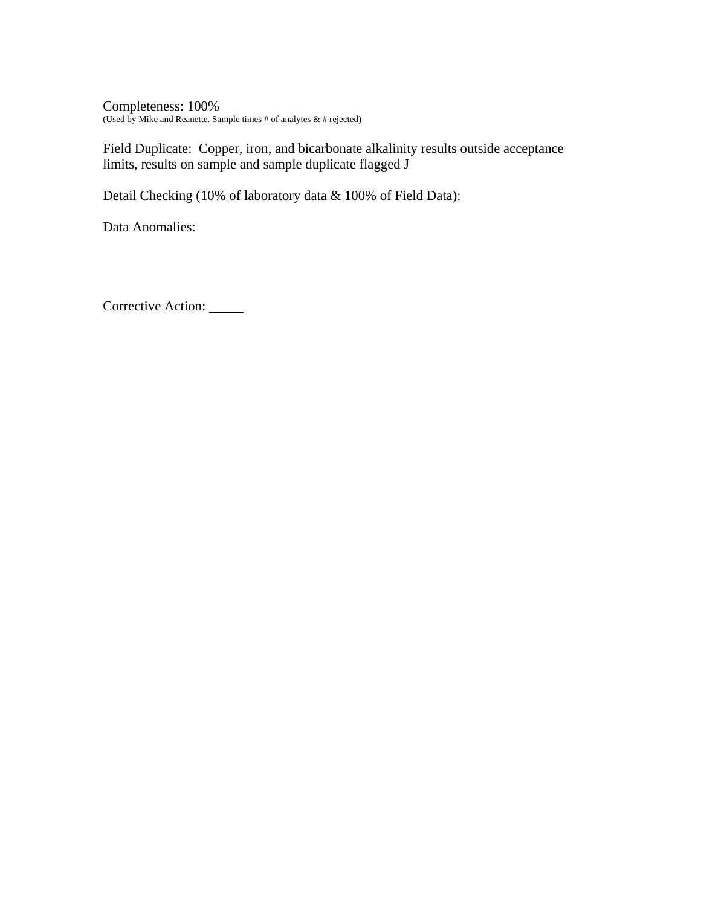Completeness: 100% (Used by Mike and Reanette. Sample times # of analytes & # rejected)

Field Duplicate: Copper, iron, and bicarbonate alkalinity results outside acceptance limits, results on sample and sample duplicate flagged J

Detail Checking (10% of laboratory data & 100% of Field Data):

Data Anomalies: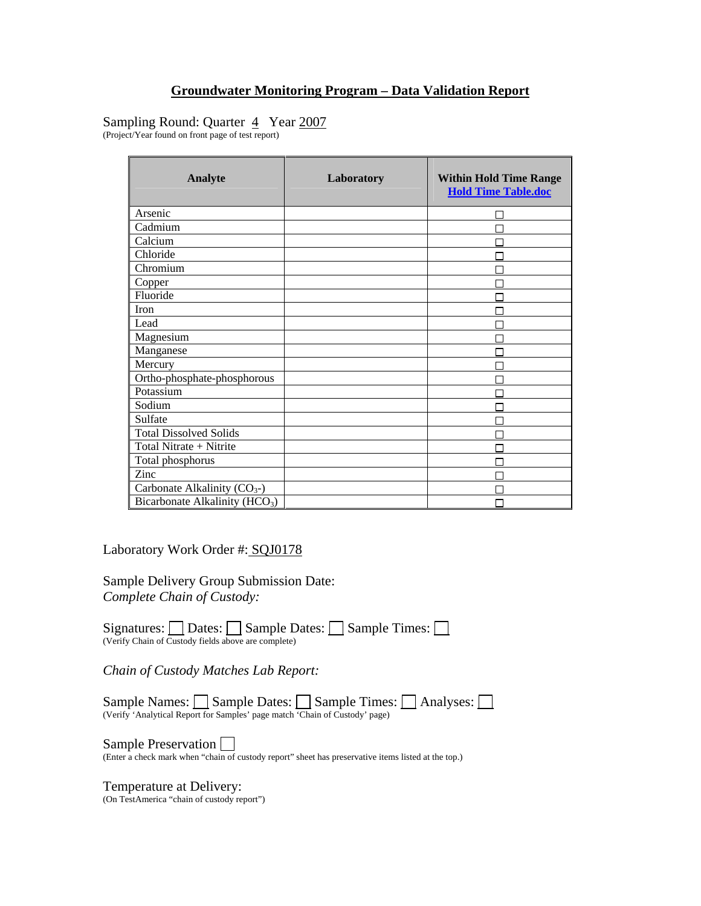## Sampling Round: Quarter 4 Year 2007

(Project/Year found on front page of test report)

| <b>Analyte</b>                             | Laboratory | <b>Within Hold Time Range</b><br><b>Hold Time Table.doc</b> |
|--------------------------------------------|------------|-------------------------------------------------------------|
| Arsenic                                    |            |                                                             |
| Cadmium                                    |            |                                                             |
| Calcium                                    |            |                                                             |
| Chloride                                   |            |                                                             |
| Chromium                                   |            |                                                             |
| Copper                                     |            |                                                             |
| Fluoride                                   |            |                                                             |
| Iron                                       |            |                                                             |
| Lead                                       |            |                                                             |
| Magnesium                                  |            |                                                             |
| Manganese                                  |            |                                                             |
| Mercury                                    |            |                                                             |
| Ortho-phosphate-phosphorous                |            |                                                             |
| Potassium                                  |            |                                                             |
| Sodium                                     |            |                                                             |
| Sulfate                                    |            |                                                             |
| <b>Total Dissolved Solids</b>              |            |                                                             |
| Total Nitrate + Nitrite                    |            |                                                             |
| Total phosphorus                           |            |                                                             |
| Zinc                                       |            |                                                             |
| Carbonate Alkalinity $(CO_{3})$            |            |                                                             |
| Bicarbonate Alkalinity (HCO <sub>3</sub> ) |            |                                                             |

Laboratory Work Order #: SQJ0178

Sample Delivery Group Submission Date: *Complete Chain of Custody:* 

Signatures:  $\Box$  Dates:  $\Box$  Sample Dates:  $\Box$  Sample Times:  $\Box$ (Verify Chain of Custody fields above are complete)

*Chain of Custody Matches Lab Report:* 

Sample Names: Sample Dates: Sample Times: Analyses: (Verify 'Analytical Report for Samples' page match 'Chain of Custody' page)

Sample Preservation  $\square$ <br>(Enter a check mark when "chain of custody report" sheet has preservative items listed at the top.)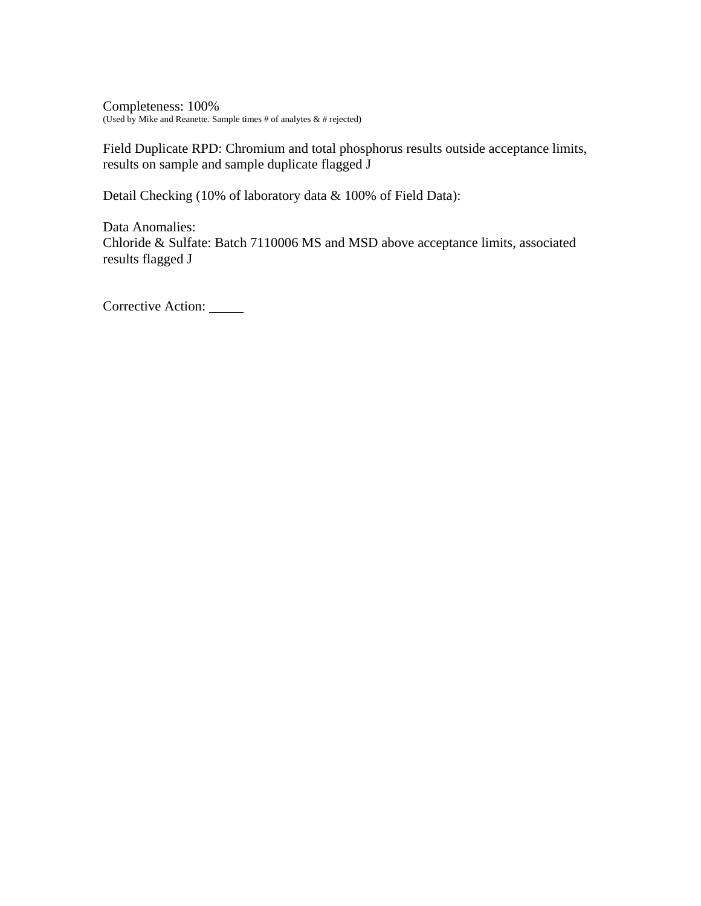Completeness: 100% (Used by Mike and Reanette. Sample times # of analytes  $\&$  # rejected)

Field Duplicate RPD: Chromium and total phosphorus results outside acceptance limits, results on sample and sample duplicate flagged J

Detail Checking (10% of laboratory data & 100% of Field Data):

Data Anomalies: Chloride & Sulfate: Batch 7110006 MS and MSD above acceptance limits, associated results flagged J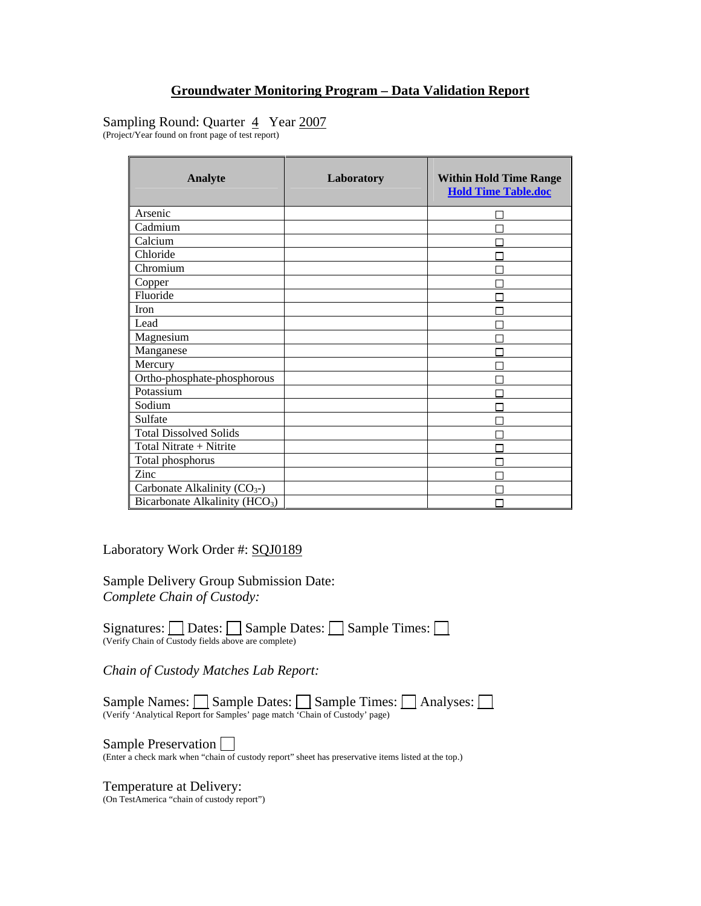## Sampling Round: Quarter 4 Year 2007

(Project/Year found on front page of test report)

| <b>Analyte</b>                             | Laboratory | <b>Within Hold Time Range</b><br><b>Hold Time Table.doc</b> |
|--------------------------------------------|------------|-------------------------------------------------------------|
| Arsenic                                    |            |                                                             |
| Cadmium                                    |            |                                                             |
| Calcium                                    |            |                                                             |
| Chloride                                   |            |                                                             |
| Chromium                                   |            |                                                             |
| Copper                                     |            |                                                             |
| Fluoride                                   |            |                                                             |
| Iron                                       |            |                                                             |
| Lead                                       |            |                                                             |
| Magnesium                                  |            |                                                             |
| Manganese                                  |            |                                                             |
| Mercury                                    |            |                                                             |
| Ortho-phosphate-phosphorous                |            |                                                             |
| Potassium                                  |            |                                                             |
| Sodium                                     |            |                                                             |
| Sulfate                                    |            |                                                             |
| <b>Total Dissolved Solids</b>              |            |                                                             |
| Total Nitrate + Nitrite                    |            |                                                             |
| Total phosphorus                           |            |                                                             |
| Zinc                                       |            |                                                             |
| Carbonate Alkalinity $(CO_{3})$            |            |                                                             |
| Bicarbonate Alkalinity (HCO <sub>3</sub> ) |            |                                                             |

Laboratory Work Order #: SQJ0189

Sample Delivery Group Submission Date: *Complete Chain of Custody:* 

Signatures:  $\Box$  Dates:  $\Box$  Sample Dates:  $\Box$  Sample Times:  $\Box$ (Verify Chain of Custody fields above are complete)

*Chain of Custody Matches Lab Report:* 

Sample Names: Sample Dates: Sample Times: Analyses: (Verify 'Analytical Report for Samples' page match 'Chain of Custody' page)

Sample Preservation  $\square$ <br>(Enter a check mark when "chain of custody report" sheet has preservative items listed at the top.)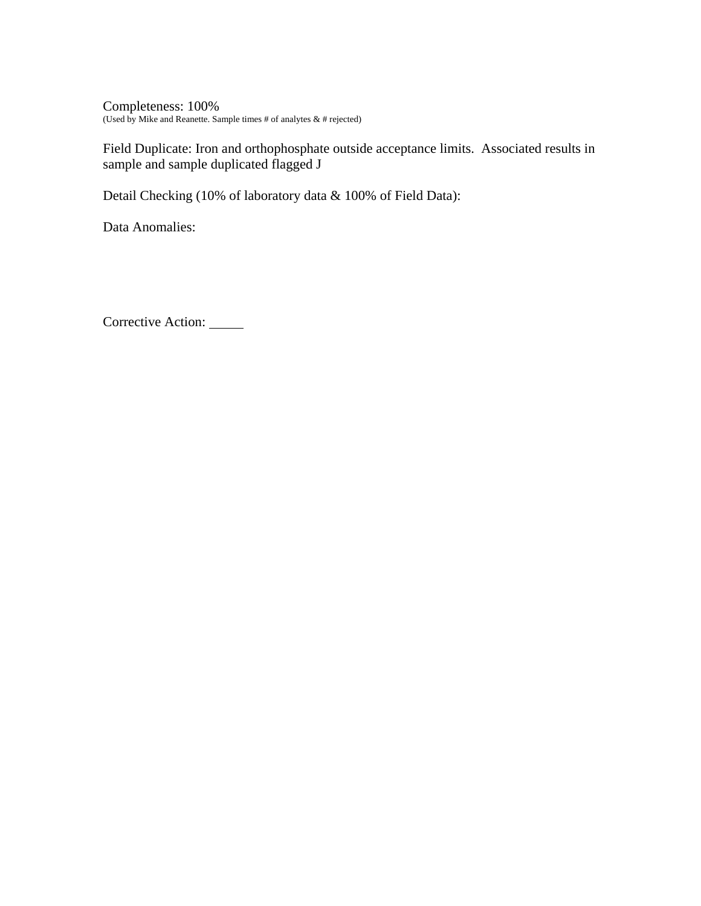Completeness: 100% (Used by Mike and Reanette. Sample times # of analytes & # rejected)

Field Duplicate: Iron and orthophosphate outside acceptance limits. Associated results in sample and sample duplicated flagged J

Detail Checking (10% of laboratory data & 100% of Field Data):

Data Anomalies: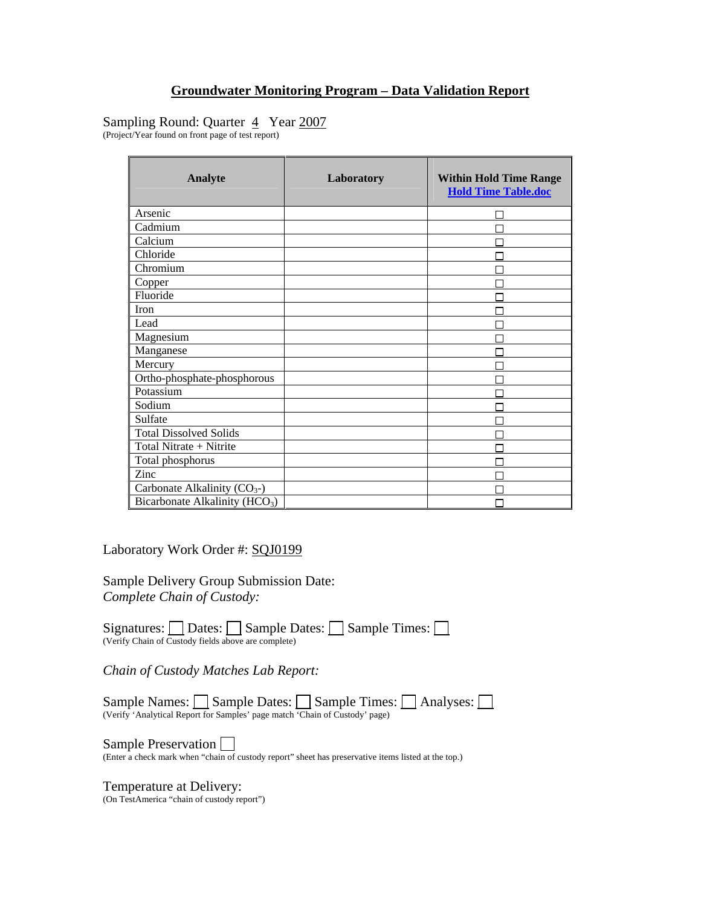## Sampling Round: Quarter 4 Year 2007

(Project/Year found on front page of test report)

| <b>Analyte</b>                             | Laboratory | <b>Within Hold Time Range</b><br><b>Hold Time Table.doc</b> |
|--------------------------------------------|------------|-------------------------------------------------------------|
| Arsenic                                    |            |                                                             |
| Cadmium                                    |            |                                                             |
| Calcium                                    |            |                                                             |
| Chloride                                   |            |                                                             |
| Chromium                                   |            |                                                             |
| Copper                                     |            |                                                             |
| Fluoride                                   |            |                                                             |
| Iron                                       |            |                                                             |
| Lead                                       |            |                                                             |
| Magnesium                                  |            |                                                             |
| Manganese                                  |            |                                                             |
| Mercury                                    |            |                                                             |
| Ortho-phosphate-phosphorous                |            |                                                             |
| Potassium                                  |            |                                                             |
| Sodium                                     |            |                                                             |
| Sulfate                                    |            |                                                             |
| <b>Total Dissolved Solids</b>              |            |                                                             |
| Total Nitrate + Nitrite                    |            |                                                             |
| Total phosphorus                           |            |                                                             |
| Zinc                                       |            |                                                             |
| Carbonate Alkalinity $(CO_{3})$            |            |                                                             |
| Bicarbonate Alkalinity (HCO <sub>3</sub> ) |            |                                                             |

Laboratory Work Order #: SQJ0199

Sample Delivery Group Submission Date: *Complete Chain of Custody:* 

Signatures:  $\Box$  Dates:  $\Box$  Sample Dates:  $\Box$  Sample Times:  $\Box$ (Verify Chain of Custody fields above are complete)

*Chain of Custody Matches Lab Report:* 

Sample Names: Sample Dates: Sample Times: Analyses: (Verify 'Analytical Report for Samples' page match 'Chain of Custody' page)

Sample Preservation  $\square$ <br>(Enter a check mark when "chain of custody report" sheet has preservative items listed at the top.)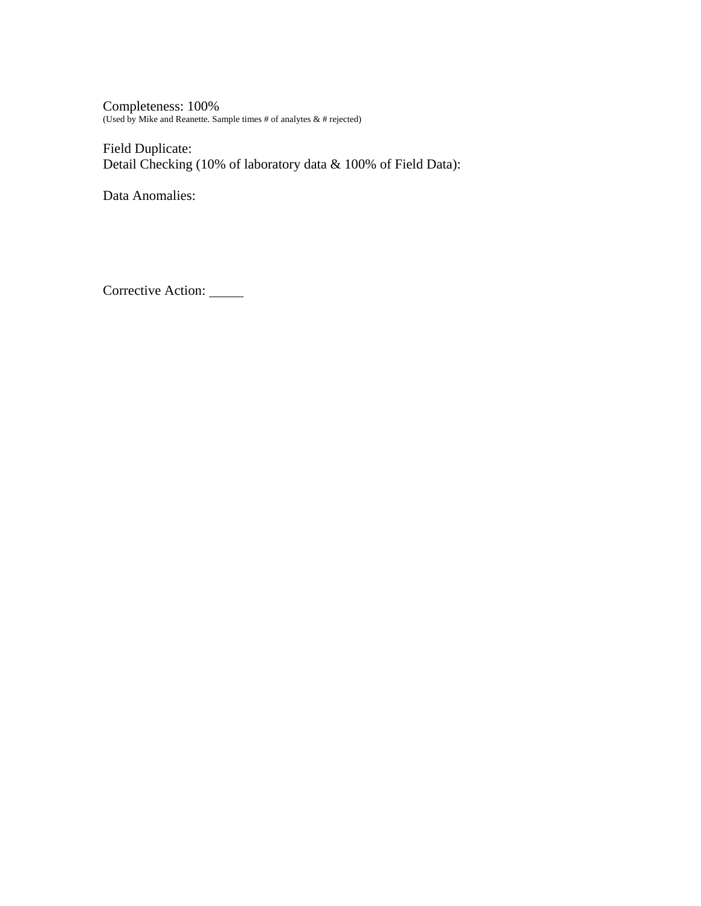Completeness: 100% (Used by Mike and Reanette. Sample times # of analytes & # rejected)

Field Duplicate: Detail Checking (10% of laboratory data & 100% of Field Data):

Data Anomalies: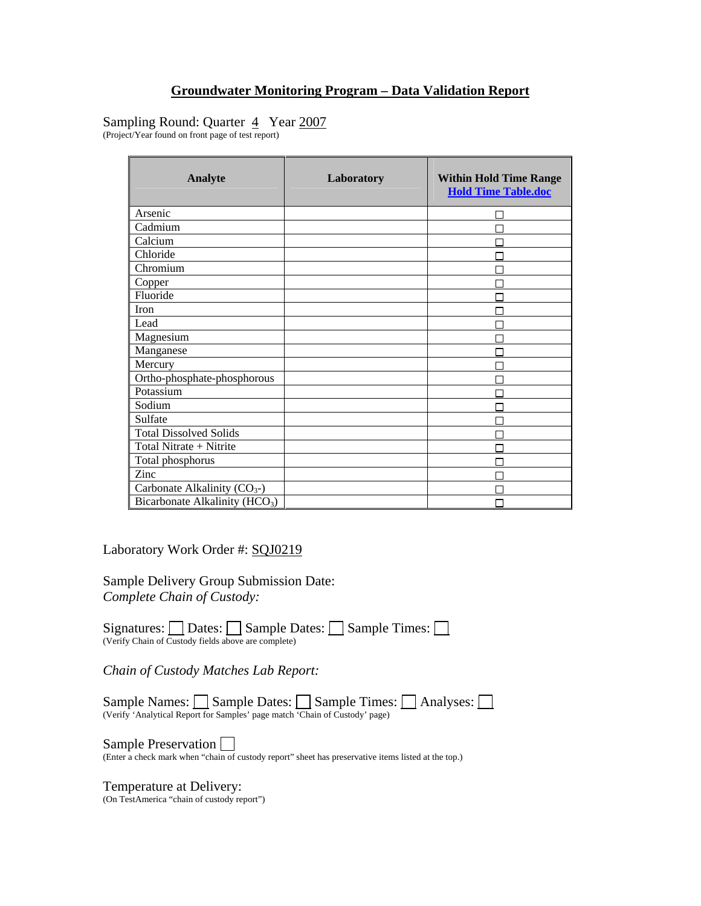## Sampling Round: Quarter 4 Year 2007

(Project/Year found on front page of test report)

| <b>Analyte</b>                             | Laboratory | <b>Within Hold Time Range</b><br><b>Hold Time Table.doc</b> |
|--------------------------------------------|------------|-------------------------------------------------------------|
| Arsenic                                    |            |                                                             |
| Cadmium                                    |            |                                                             |
| Calcium                                    |            |                                                             |
| Chloride                                   |            |                                                             |
| Chromium                                   |            |                                                             |
| Copper                                     |            |                                                             |
| Fluoride                                   |            |                                                             |
| Iron                                       |            |                                                             |
| Lead                                       |            |                                                             |
| Magnesium                                  |            |                                                             |
| Manganese                                  |            |                                                             |
| Mercury                                    |            |                                                             |
| Ortho-phosphate-phosphorous                |            |                                                             |
| Potassium                                  |            |                                                             |
| Sodium                                     |            |                                                             |
| Sulfate                                    |            |                                                             |
| <b>Total Dissolved Solids</b>              |            |                                                             |
| Total Nitrate + Nitrite                    |            |                                                             |
| Total phosphorus                           |            |                                                             |
| Zinc                                       |            |                                                             |
| Carbonate Alkalinity $(CO_{3})$            |            |                                                             |
| Bicarbonate Alkalinity (HCO <sub>3</sub> ) |            |                                                             |

Laboratory Work Order #: SQJ0219

Sample Delivery Group Submission Date: *Complete Chain of Custody:* 

Signatures:  $\Box$  Dates:  $\Box$  Sample Dates:  $\Box$  Sample Times:  $\Box$ (Verify Chain of Custody fields above are complete)

*Chain of Custody Matches Lab Report:* 

Sample Names: Sample Dates: Sample Times: Analyses: (Verify 'Analytical Report for Samples' page match 'Chain of Custody' page)

Sample Preservation  $\square$ <br>(Enter a check mark when "chain of custody report" sheet has preservative items listed at the top.)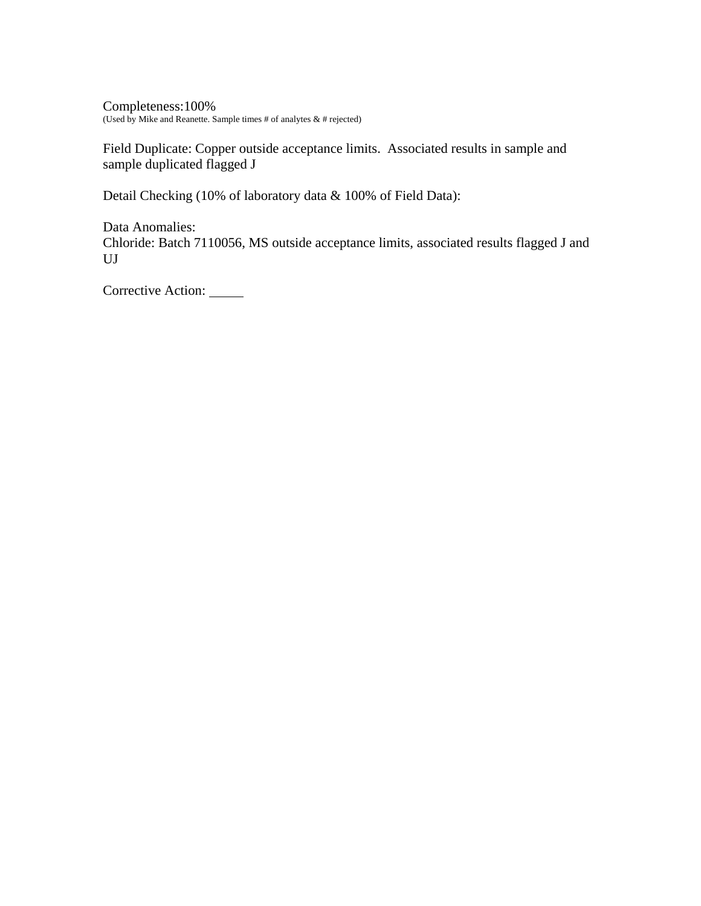Completeness:100% (Used by Mike and Reanette. Sample times # of analytes & # rejected)

Field Duplicate: Copper outside acceptance limits. Associated results in sample and sample duplicated flagged J

Detail Checking (10% of laboratory data & 100% of Field Data):

Data Anomalies: Chloride: Batch 7110056, MS outside acceptance limits, associated results flagged J and UJ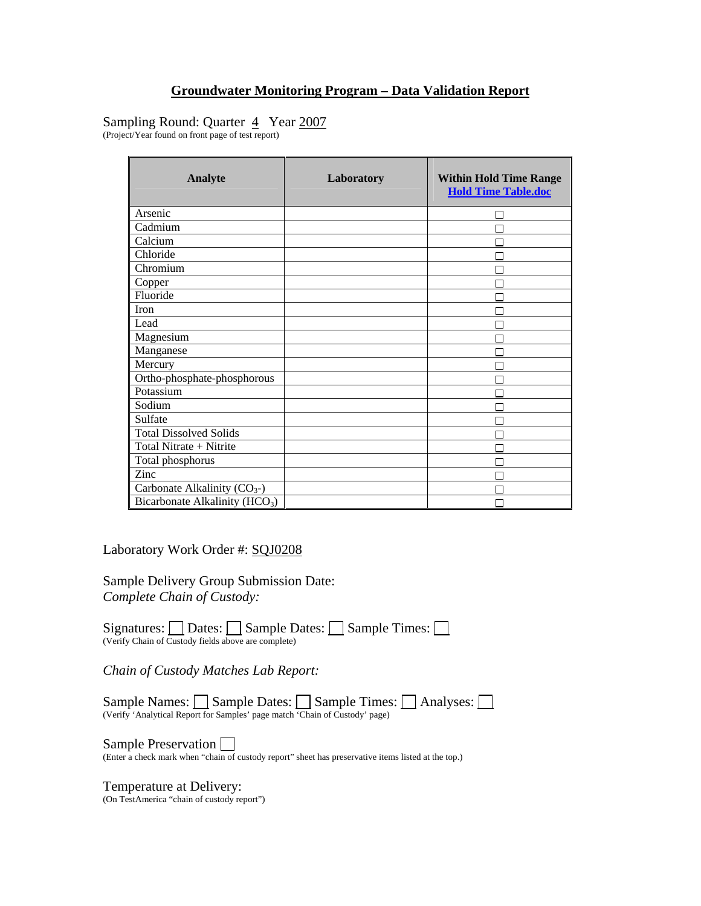## Sampling Round: Quarter 4 Year 2007

(Project/Year found on front page of test report)

| <b>Analyte</b>                             | Laboratory | <b>Within Hold Time Range</b><br><b>Hold Time Table.doc</b> |
|--------------------------------------------|------------|-------------------------------------------------------------|
| Arsenic                                    |            |                                                             |
| Cadmium                                    |            |                                                             |
| Calcium                                    |            |                                                             |
| Chloride                                   |            |                                                             |
| Chromium                                   |            |                                                             |
| Copper                                     |            |                                                             |
| Fluoride                                   |            |                                                             |
| Iron                                       |            |                                                             |
| Lead                                       |            |                                                             |
| Magnesium                                  |            |                                                             |
| Manganese                                  |            |                                                             |
| Mercury                                    |            |                                                             |
| Ortho-phosphate-phosphorous                |            |                                                             |
| Potassium                                  |            |                                                             |
| Sodium                                     |            |                                                             |
| Sulfate                                    |            |                                                             |
| <b>Total Dissolved Solids</b>              |            |                                                             |
| Total Nitrate + Nitrite                    |            |                                                             |
| Total phosphorus                           |            |                                                             |
| Zinc                                       |            |                                                             |
| Carbonate Alkalinity $(CO_{3})$            |            |                                                             |
| Bicarbonate Alkalinity (HCO <sub>3</sub> ) |            |                                                             |

Laboratory Work Order #: SQJ0208

Sample Delivery Group Submission Date: *Complete Chain of Custody:* 

Signatures:  $\Box$  Dates:  $\Box$  Sample Dates:  $\Box$  Sample Times:  $\Box$ (Verify Chain of Custody fields above are complete)

*Chain of Custody Matches Lab Report:* 

Sample Names: Sample Dates: Sample Times: Analyses: (Verify 'Analytical Report for Samples' page match 'Chain of Custody' page)

Sample Preservation  $\square$ <br>(Enter a check mark when "chain of custody report" sheet has preservative items listed at the top.)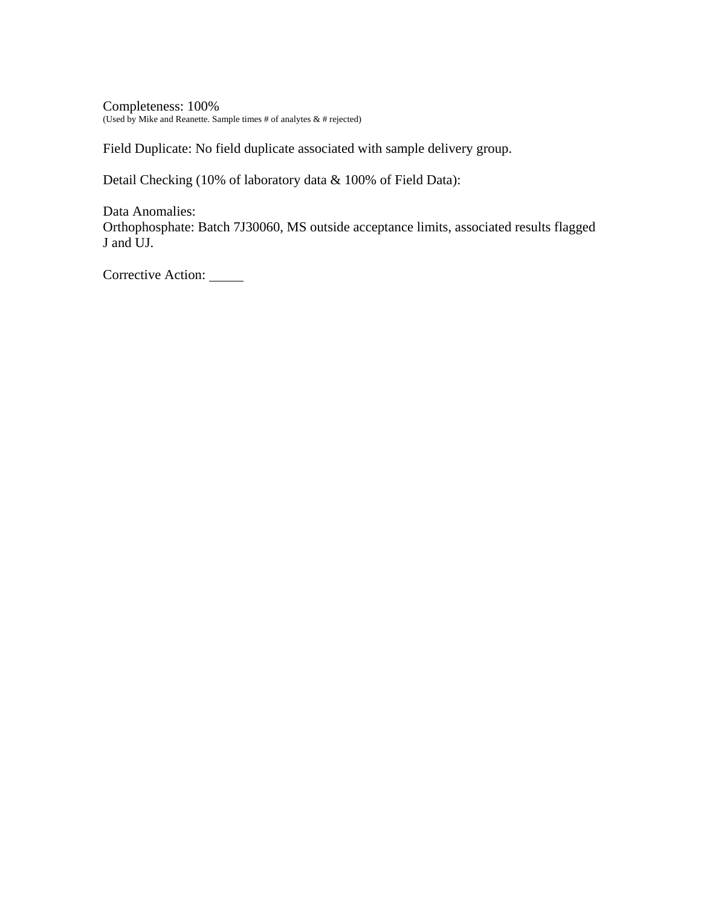Completeness: 100% (Used by Mike and Reanette. Sample times # of analytes  $\&$  # rejected)

Field Duplicate: No field duplicate associated with sample delivery group.

Detail Checking (10% of laboratory data & 100% of Field Data):

Data Anomalies: Orthophosphate: Batch 7J30060, MS outside acceptance limits, associated results flagged J and UJ.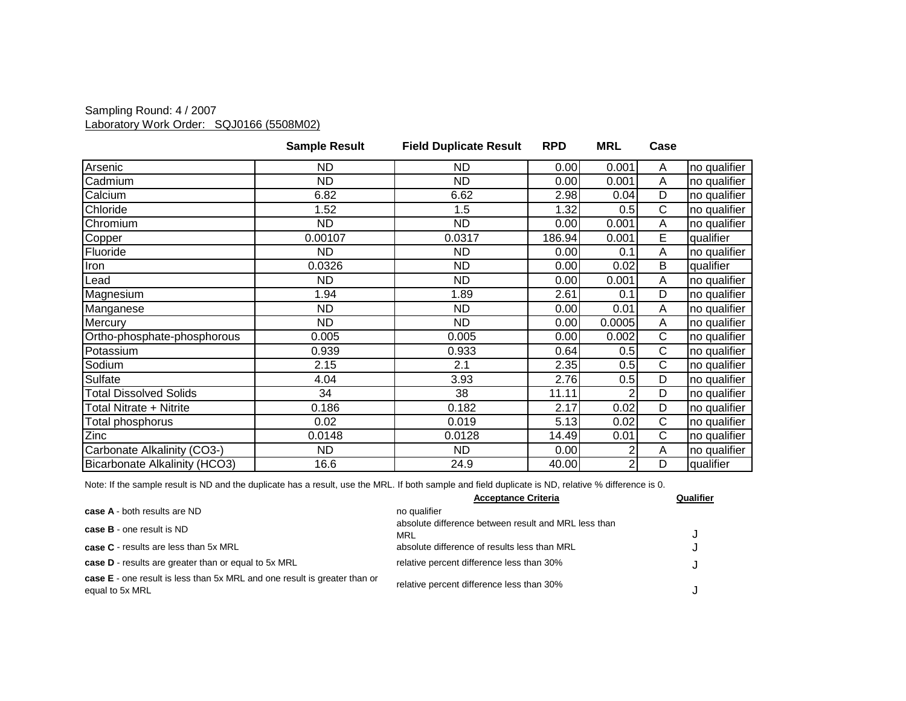### Sampling Round: 4 / 2007 Laboratory Work Order: SQJ0166 (5508M02)

|                               | <b>Sample Result</b> | <b>Field Duplicate Result</b> | <b>RPD</b> | <b>MRL</b>     | Case |              |
|-------------------------------|----------------------|-------------------------------|------------|----------------|------|--------------|
| Arsenic                       | <b>ND</b>            | ND                            | 0.00       | 0.001          | A    | no qualifier |
| Cadmium                       | ND.                  | ND                            | 0.00       | 0.001          | A    | no qualifier |
| Calcium                       | 6.82                 | 6.62                          | 2.98       | 0.04           | D    | no qualifier |
| Chloride                      | 1.52                 | 1.5                           | 1.32       | 0.5            | C    | no qualifier |
| Chromium                      | <b>ND</b>            | <b>ND</b>                     | 0.00       | 0.001          | Α    | no qualifier |
| Copper                        | 0.00107              | 0.0317                        | 186.94     | 0.001          | E.   | qualifier    |
| Fluoride                      | ND                   | ND                            | 0.00       | 0.1            | A    | no qualifier |
| Iron                          | 0.0326               | <b>ND</b>                     | 0.00       | 0.02           | B    | qualifier    |
| Lead                          | ND.                  | ND                            | 0.00       | 0.001          | A    | no qualifier |
| Magnesium                     | 1.94                 | 1.89                          | 2.61       | 0.1            | D    | no qualifier |
| Manganese                     | <b>ND</b>            | ND.                           | 0.00       | 0.01           | A    | no qualifier |
| Mercury                       | <b>ND</b>            | <b>ND</b>                     | 0.00       | 0.0005         | A    | no qualifier |
| Ortho-phosphate-phosphorous   | 0.005                | 0.005                         | 0.00       | 0.002          | C    | no qualifier |
| Potassium                     | 0.939                | 0.933                         | 0.64       | 0.5            | C    | no qualifier |
| Sodium                        | 2.15                 | 2.1                           | 2.35       | 0.5            | C    | no qualifier |
| Sulfate                       | 4.04                 | 3.93                          | 2.76       | 0.5            | D    | no qualifier |
| <b>Total Dissolved Solids</b> | 34                   | 38                            | 11.11      | 2              | D    | no qualifier |
| Total Nitrate + Nitrite       | 0.186                | 0.182                         | 2.17       | 0.02           | D    | no qualifier |
| Total phosphorus              | 0.02                 | 0.019                         | 5.13       | 0.02           | C    | no qualifier |
| Zinc                          | 0.0148               | 0.0128                        | 14.49      | 0.01           | C    | no qualifier |
| Carbonate Alkalinity (CO3-)   | ND                   | <b>ND</b>                     | 0.00       | $\overline{2}$ | A    | no qualifier |
| Bicarbonate Alkalinity (HCO3) | 16.6                 | 24.9                          | 40.00      | 2              | D    | qualifier    |

|                                                                                                     | <b>Acceptance Criteria</b>                                  | Qualifier |
|-----------------------------------------------------------------------------------------------------|-------------------------------------------------------------|-----------|
| case A - both results are ND                                                                        | no qualifier                                                |           |
| <b>case B</b> - one result is ND                                                                    | absolute difference between result and MRL less than<br>MRL |           |
| <b>case C</b> - results are less than 5x MRL                                                        | absolute difference of results less than MRL                |           |
| case D - results are greater than or equal to 5x MRL                                                | relative percent difference less than 30%                   |           |
| <b>case E</b> - one result is less than 5x MRL and one result is greater than or<br>equal to 5x MRL | relative percent difference less than 30%                   |           |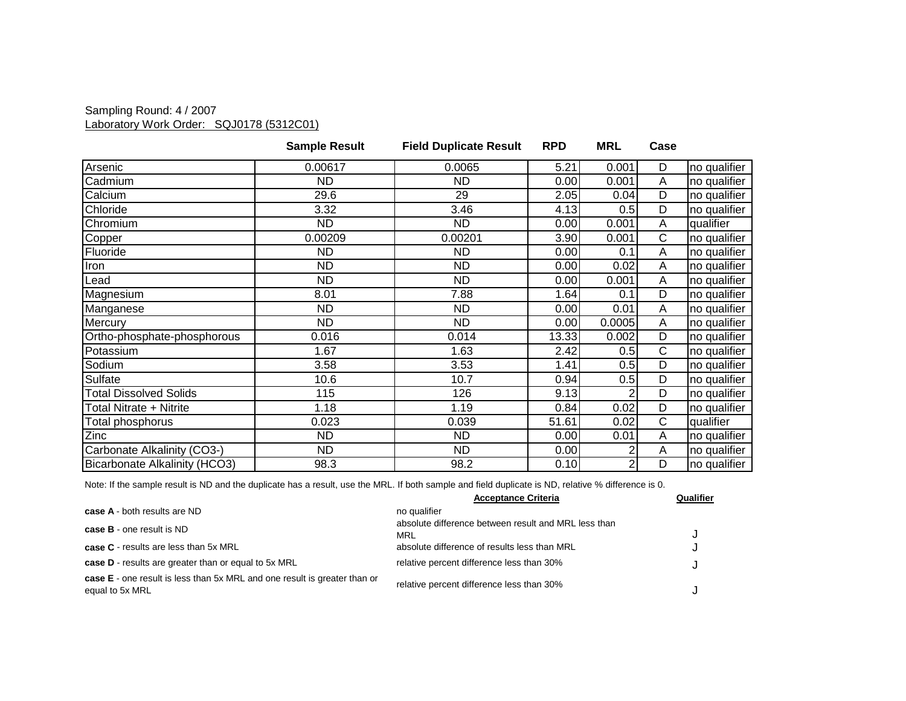### Sampling Round: 4 / 2007 Laboratory Work Order: SQJ0178 (5312C01)

|                               | <b>Sample Result</b> | <b>Field Duplicate Result</b> | <b>RPD</b> | <b>MRL</b>     | Case         |              |
|-------------------------------|----------------------|-------------------------------|------------|----------------|--------------|--------------|
| Arsenic                       | 0.00617              | 0.0065                        | 5.21       | 0.001          | D            | no qualifier |
| Cadmium                       | ND.                  | <b>ND</b>                     | 0.00       | 0.001          | A            | no qualifier |
| Calcium                       | 29.6                 | 29                            | 2.05       | 0.04           | D            | no qualifier |
| Chloride                      | 3.32                 | 3.46                          | 4.13       | 0.5            | D            | no qualifier |
| Chromium                      | <b>ND</b>            | ND                            | 0.00       | 0.001          | Α            | qualifier    |
| Copper                        | 0.00209              | 0.00201                       | 3.90       | 0.001          | C            | no qualifier |
| Fluoride                      | ND                   | ND                            | 0.00       | 0.1            | A            | no qualifier |
| Iron                          | <b>ND</b>            | <b>ND</b>                     | 0.00       | 0.02           | A            | no qualifier |
| Lead                          | <b>ND</b>            | <b>ND</b>                     | 0.00       | 0.001          | A            | no qualifier |
| Magnesium                     | 8.01                 | 7.88                          | 1.64       | 0.1            | D            | no qualifier |
| Manganese                     | <b>ND</b>            | ND.                           | 0.00       | 0.01           | A            | no qualifier |
| Mercury                       | <b>ND</b>            | ND.                           | 0.00       | 0.0005         | A            | no qualifier |
| Ortho-phosphate-phosphorous   | 0.016                | 0.014                         | 13.33      | 0.002          | D            | no qualifier |
| Potassium                     | 1.67                 | 1.63                          | 2.42       | 0.5            | $\mathsf{C}$ | no qualifier |
| Sodium                        | 3.58                 | 3.53                          | 1.41       | 0.5            | D            | no qualifier |
| Sulfate                       | 10.6                 | 10.7                          | 0.94       | 0.5            | D            | no qualifier |
| <b>Total Dissolved Solids</b> | 115                  | 126                           | 9.13       |                | D            | no qualifier |
| Total Nitrate + Nitrite       | 1.18                 | 1.19                          | 0.84       | 0.02           | D            | no qualifier |
| Total phosphorus              | 0.023                | 0.039                         | 51.61      | 0.02           | C            | qualifier    |
| Zinc                          | ND.                  | ND                            | 0.00       | 0.01           | Α            | no qualifier |
| Carbonate Alkalinity (CO3-)   | <b>ND</b>            | <b>ND</b>                     | 0.00       | 2              | A            | no qualifier |
| Bicarbonate Alkalinity (HCO3) | 98.3                 | 98.2                          | 0.10       | $\overline{2}$ | D            | no qualifier |

|                                                                                              | <b>Acceptance Criteria</b>                                  | Qualifier |
|----------------------------------------------------------------------------------------------|-------------------------------------------------------------|-----------|
| case A - both results are ND                                                                 | no qualifier                                                |           |
| <b>case B</b> - one result is ND                                                             | absolute difference between result and MRL less than<br>MRL |           |
| <b>case C</b> - results are less than 5x MRL                                                 | absolute difference of results less than MRL                |           |
| case D - results are greater than or equal to 5x MRL                                         | relative percent difference less than 30%                   |           |
| case E - one result is less than 5x MRL and one result is greater than or<br>equal to 5x MRL | relative percent difference less than 30%                   |           |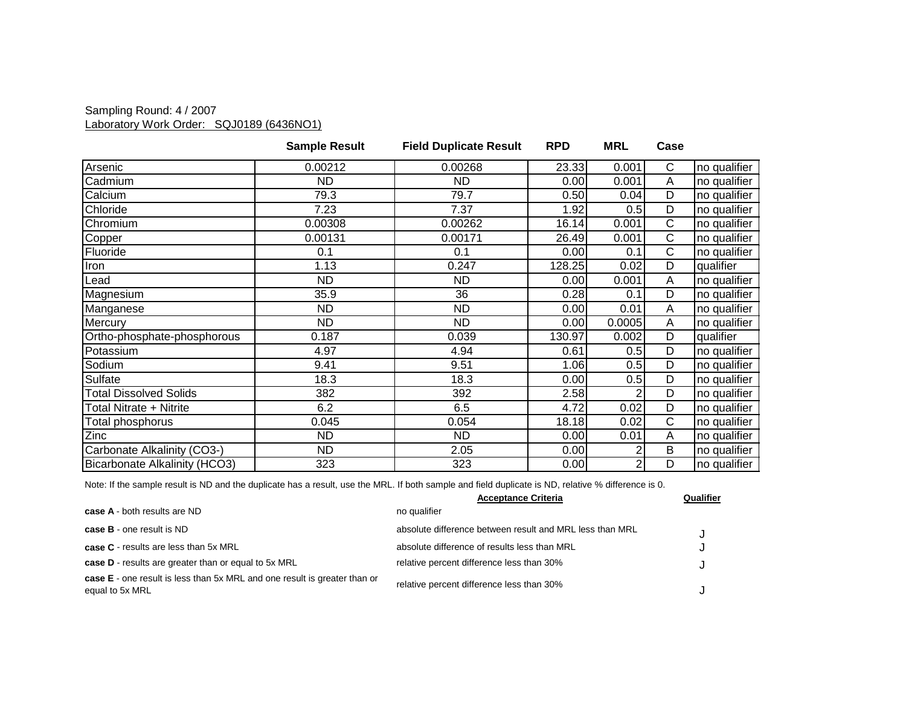### Sampling Round: 4 / 2007 Laboratory Work Order: SQJ0189 (6436NO1)

|                               | <b>Sample Result</b> | <b>Field Duplicate Result</b> | <b>RPD</b> | <b>MRL</b> | Case |              |
|-------------------------------|----------------------|-------------------------------|------------|------------|------|--------------|
| Arsenic                       | 0.00212              | 0.00268                       | 23.33      | 0.001      | C    | no qualifier |
| Cadmium                       | ND                   | ND                            | 0.00       | 0.001      | A    | no qualifier |
| Calcium                       | 79.3                 | 79.7                          | 0.50       | 0.04       | D    | no qualifier |
| Chloride                      | 7.23                 | 7.37                          | 1.92       | 0.5        | D    | no qualifier |
| Chromium                      | 0.00308              | 0.00262                       | 16.14      | 0.001      | C    | no qualifier |
| Copper                        | 0.00131              | 0.00171                       | 26.49      | 0.001      | C    | no qualifier |
| Fluoride                      | 0.1                  | 0.1                           | 0.00       | 0.1        | С    | no qualifier |
| Iron                          | 1.13                 | 0.247                         | 128.25     | 0.02       | D    | qualifier    |
| Lead                          | ND                   | ND                            | 0.00       | 0.001      | A    | no qualifier |
| Magnesium                     | 35.9                 | 36                            | 0.28       | 0.1        | D    | no qualifier |
| Manganese                     | ND.                  | <b>ND</b>                     | 0.00       | 0.01       | A    | no qualifier |
| Mercury                       | <b>ND</b>            | <b>ND</b>                     | 0.00       | 0.0005     | A    | no qualifier |
| Ortho-phosphate-phosphorous   | 0.187                | 0.039                         | 130.97     | 0.002      | D    | qualifier    |
| Potassium                     | 4.97                 | 4.94                          | 0.61       | 0.5        | D    | no qualifier |
| Sodium                        | 9.41                 | 9.51                          | 1.06       | 0.5        | D    | no qualifier |
| Sulfate                       | 18.3                 | 18.3                          | 0.00       | 0.5        | D    | no qualifier |
| <b>Total Dissolved Solids</b> | 382                  | 392                           | 2.58       | 2          | D    | no qualifier |
| Total Nitrate + Nitrite       | 6.2                  | 6.5                           | 4.72       | 0.02       | D    | no qualifier |
| Total phosphorus              | 0.045                | 0.054                         | 18.18      | 0.02       | C    | no qualifier |
| Zinc                          | ND                   | ND                            | 0.00       | 0.01       | A    | no qualifier |
| Carbonate Alkalinity (CO3-)   | <b>ND</b>            | 2.05                          | 0.00       | 2          | B    | no qualifier |
| Bicarbonate Alkalinity (HCO3) | 323                  | 323                           | 0.00       | 2          | D    | no qualifier |

|                                                                                              | <b>Acceptance Criteria</b>                               | Qualifier |
|----------------------------------------------------------------------------------------------|----------------------------------------------------------|-----------|
| case A - both results are ND                                                                 | no qualifier                                             |           |
| <b>case B</b> - one result is ND                                                             | absolute difference between result and MRL less than MRL |           |
| case C - results are less than 5x MRL                                                        | absolute difference of results less than MRL             |           |
| case D - results are greater than or equal to 5x MRL                                         | relative percent difference less than 30%                |           |
| case E - one result is less than 5x MRL and one result is greater than or<br>equal to 5x MRL | relative percent difference less than 30%                |           |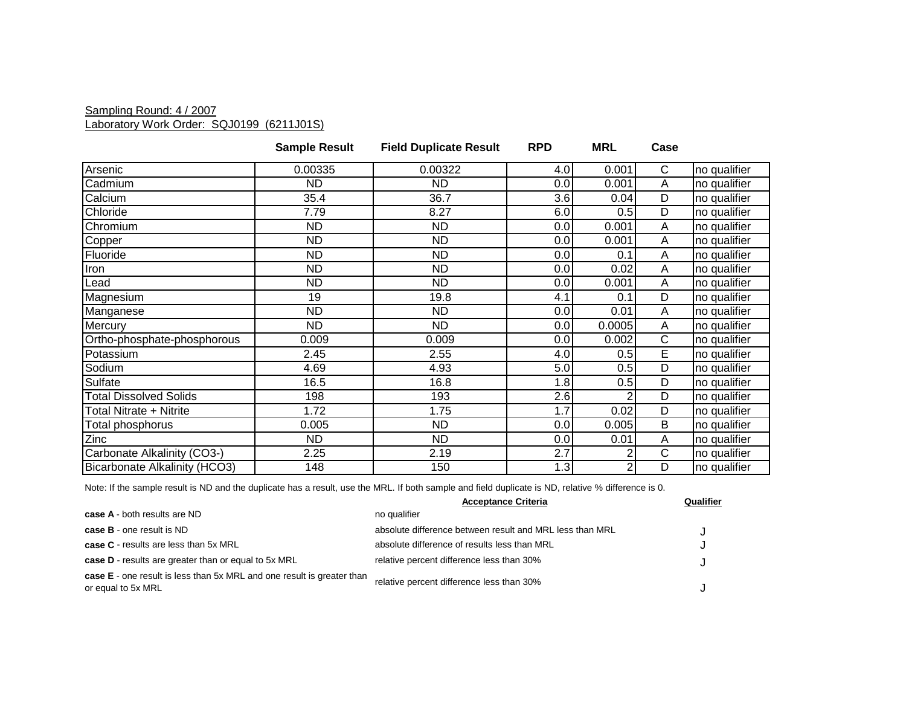#### Sampling Round: 4 / 2007 Laboratory Work Order: SQJ0199 (6211J01S)

|                               | <b>Sample Result</b> | <b>Field Duplicate Result</b> | <b>RPD</b> | <b>MRL</b> | Case |              |
|-------------------------------|----------------------|-------------------------------|------------|------------|------|--------------|
| Arsenic                       | 0.00335              | 0.00322                       | 4.0        | 0.001      | C    | no qualifier |
| Cadmium                       | <b>ND</b>            | <b>ND</b>                     | 0.0        | 0.001      | A    | no qualifier |
| Calcium                       | 35.4                 | 36.7                          | 3.6        | 0.04       | D    | no qualifier |
| Chloride                      | 7.79                 | 8.27                          | 6.0        | 0.5        | D    | no qualifier |
| Chromium                      | <b>ND</b>            | <b>ND</b>                     | 0.0        | 0.001      | A    | no qualifier |
| Copper                        | <b>ND</b>            | ND                            | 0.0        | 0.001      | A    | no qualifier |
| Fluoride                      | <b>ND</b>            | ND.                           | 0.0        | 0.1        | A    | no qualifier |
| Iron                          | <b>ND</b>            | <b>ND</b>                     | 0.0        | 0.02       | Α    | no qualifier |
| Lead                          | <b>ND</b>            | <b>ND</b>                     | 0.0        | 0.001      | A    | no qualifier |
| Magnesium                     | 19                   | 19.8                          | 4.1        | 0.1        | D    | no qualifier |
| Manganese                     | <b>ND</b>            | <b>ND</b>                     | 0.0        | 0.01       | Α    | no qualifier |
| Mercury                       | <b>ND</b>            | ND.                           | 0.0        | 0.0005     | A    | no qualifier |
| Ortho-phosphate-phosphorous   | 0.009                | 0.009                         | 0.0        | 0.002      | С    | no qualifier |
| Potassium                     | 2.45                 | 2.55                          | 4.0        | 0.5        | E    | no qualifier |
| Sodium                        | 4.69                 | 4.93                          | 5.0        | 0.5        | D    | no qualifier |
| Sulfate                       | 16.5                 | 16.8                          | 1.8        | 0.5        | D    | no qualifier |
| <b>Total Dissolved Solids</b> | 198                  | 193                           | 2.6        |            | D    | no qualifier |
| Total Nitrate + Nitrite       | 1.72                 | 1.75                          | 1.7        | 0.02       | D    | no qualifier |
| Total phosphorus              | 0.005                | <b>ND</b>                     | 0.0        | 0.005      | B    | no qualifier |
| Zinc                          | <b>ND</b>            | <b>ND</b>                     | 0.0        | 0.01       | Α    | no qualifier |
| Carbonate Alkalinity (CO3-)   | 2.25                 | 2.19                          | 2.7        |            | C    | no qualifier |
| Bicarbonate Alkalinity (HCO3) | 148                  | 150                           | 1.3        |            | D    | no qualifier |

|                                                                                                     | <b>Acceptance Criteria</b>                               | Qualifier |
|-----------------------------------------------------------------------------------------------------|----------------------------------------------------------|-----------|
| case A - both results are ND                                                                        | no qualifier                                             |           |
| <b>case B</b> - one result is ND                                                                    | absolute difference between result and MRL less than MRL |           |
| <b>case C</b> - results are less than 5x MRL                                                        | absolute difference of results less than MRL             |           |
| case D - results are greater than or equal to 5x MRL                                                | relative percent difference less than 30%                |           |
| <b>case E</b> - one result is less than 5x MRL and one result is greater than<br>or equal to 5x MRL | relative percent difference less than 30%                |           |